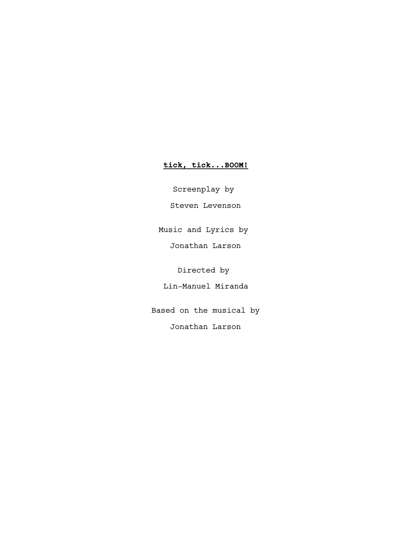# **tick, tick...BOOM!**

Screenplay by

Steven Levenson

Music and Lyrics by

Jonathan Larson

Directed by

Lin-Manuel Miranda

Based on the musical by Jonathan Larson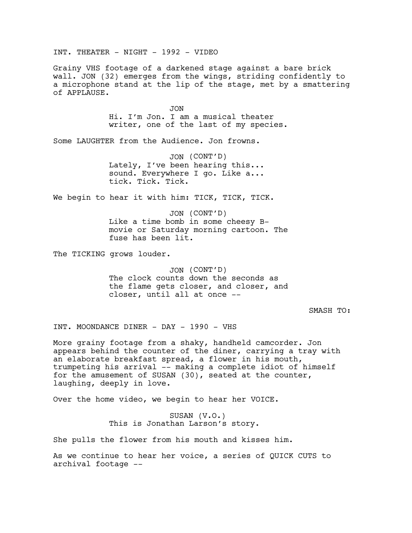INT. THEATER - NIGHT - 1992 - VIDEO

Grainy VHS footage of a darkened stage against a bare brick wall. JON (32) emerges from the wings, striding confidently to a microphone stand at the lip of the stage, met by a smattering of APPLAUSE.

> JON Hi. I'm Jon. I am a musical theater writer, one of the last of my species.

Some LAUGHTER from the Audience. Jon frowns.

JON (CONT'D) Lately, I've been hearing this... sound. Everywhere I go. Like a... tick. Tick. Tick.

We begin to hear it with him: TICK, TICK, TICK.

JON (CONT'D) Like a time bomb in some cheesy Bmovie or Saturday morning cartoon. The fuse has been lit.

The TICKING grows louder.

JON (CONT'D) The clock counts down the seconds as the flame gets closer, and closer, and closer, until all at once --

SMASH TO:

INT. MOONDANCE DINER - DAY - 1990 - VHS

More grainy footage from a shaky, handheld camcorder. Jon appears behind the counter of the diner, carrying a tray with an elaborate breakfast spread, a flower in his mouth, trumpeting his arrival -- making a complete idiot of himself for the amusement of SUSAN (30), seated at the counter, laughing, deeply in love.

Over the home video, we begin to hear her VOICE.

SUSAN (V.O.) This is Jonathan Larson's story.

She pulls the flower from his mouth and kisses him.

As we continue to hear her voice, a series of QUICK CUTS to archival footage --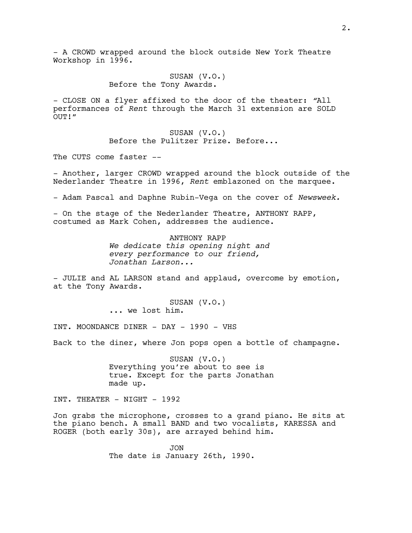- A CROWD wrapped around the block outside New York Theatre Workshop in 1996.

> SUSAN (V.O.) Before the Tony Awards.

- CLOSE ON a flyer affixed to the door of the theater: *"*All performances of *Rent* through the March 31 extension are SOLD OUT!"

> SUSAN (V.O.) Before the Pulitzer Prize. Before...

The CUTS come faster --

- Another, larger CROWD wrapped around the block outside of the Nederlander Theatre in 1996, *Rent* emblazoned on the marquee.

- Adam Pascal and Daphne Rubin-Vega on the cover of *Newsweek.* 

- On the stage of the Nederlander Theatre, ANTHONY RAPP, costumed as Mark Cohen, addresses the audience.

> ANTHONY RAPP *We dedicate this opening night and every performance to our friend, Jonathan Larson...*

- JULIE and AL LARSON stand and applaud, overcome by emotion, at the Tony Awards.

> SUSAN (V.O.) ... we lost him.

INT. MOONDANCE DINER - DAY - 1990 - VHS

Back to the diner, where Jon pops open a bottle of champagne.

SUSAN (V.O.) Everything you're about to see is true. Except for the parts Jonathan made up.

INT. THEATER - NIGHT - 1992

Jon grabs the microphone, crosses to a grand piano. He sits at the piano bench. A small BAND and two vocalists, KARESSA and ROGER (both early 30s), are arrayed behind him.

> JON The date is January 26th, 1990.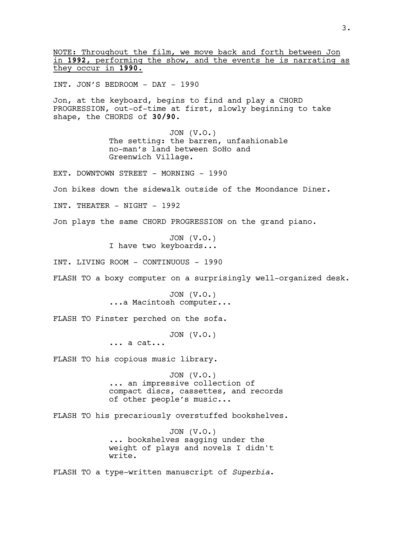NOTE: Throughout the film, we move back and forth between Jon in **1992**, performing the show, and the events he is narrating as they occur in **1990**.

INT. JON'S BEDROOM - DAY - 1990

Jon, at the keyboard, begins to find and play a CHORD PROGRESSION, out-of-time at first, slowly beginning to take shape, the CHORDS of **30/90.** 

> JON (V.O.) The setting: the barren, unfashionable no-man's land between SoHo and Greenwich Village.

EXT. DOWNTOWN STREET - MORNING - 1990

Jon bikes down the sidewalk outside of the Moondance Diner.

INT. THEATER - NIGHT - 1992

Jon plays the same CHORD PROGRESSION on the grand piano.

JON (V.O.) I have two keyboards...

INT. LIVING ROOM - CONTINUOUS - 1990

FLASH TO a boxy computer on a surprisingly well-organized desk.

JON (V.O.) ...a Macintosh computer...

FLASH TO Finster perched on the sofa.

JON (V.O.)

... a cat...

FLASH TO his copious music library.

JON (V.O.) ... an impressive collection of compact discs, cassettes, and records of other people's music...

FLASH TO his precariously overstuffed bookshelves.

JON (V.O.) ... bookshelves sagging under the weight of plays and novels I didn't write.

FLASH TO a type-written manuscript of *Superbia*.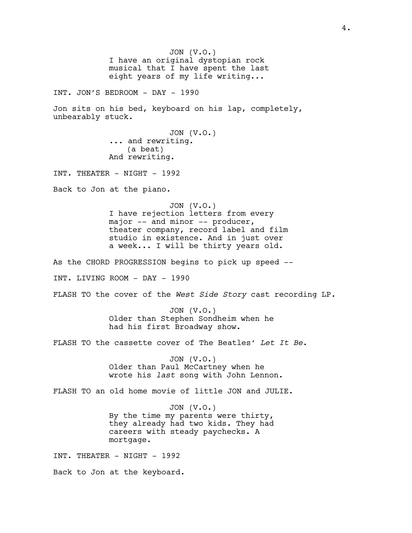JON (V.O.) I have an original dystopian rock musical that I have spent the last eight years of my life writing...

INT. JON'S BEDROOM - DAY - 1990

Jon sits on his bed, keyboard on his lap, completely, unbearably stuck.

> JON (V.O.) ... and rewriting. (a beat) And rewriting.

INT. THEATER - NIGHT - 1992

Back to Jon at the piano.

JON (V.O.) I have rejection letters from every major -- and minor -- producer, theater company, record label and film studio in existence. And in just over a week... I will be thirty years old.

As the CHORD PROGRESSION begins to pick up speed --

INT. LIVING ROOM - DAY - 1990

FLASH TO the cover of the *West Side Story* cast recording LP*.* 

JON (V.O.) Older than Stephen Sondheim when he had his first Broadway show.

FLASH TO the cassette cover of The Beatles' *Let It Be*.

JON (V.O.) Older than Paul McCartney when he wrote his *last* song with John Lennon.

FLASH TO an old home movie of little JON and JULIE.

JON (V.O.) By the time my parents were thirty, they already had two kids. They had careers with steady paychecks. A mortgage.

INT. THEATER - NIGHT - 1992 Back to Jon at the keyboard.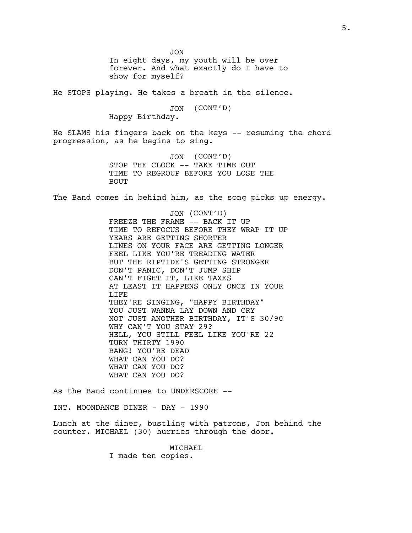JON

In eight days, my youth will be over forever. And what exactly do I have to show for myself?

He STOPS playing. He takes a breath in the silence.

JON (CONT'D)

Happy Birthday.

He SLAMS his fingers back on the keys -- resuming the chord progression, as he begins to sing.

> JON (CONT'D) STOP THE CLOCK -- TAKE TIME OUT TIME TO REGROUP BEFORE YOU LOSE THE BOUT

The Band comes in behind him, as the song picks up energy.

JON (CONT'D) FREEZE THE FRAME -- BACK IT UP TIME TO REFOCUS BEFORE THEY WRAP IT UP YEARS ARE GETTING SHORTER LINES ON YOUR FACE ARE GETTING LONGER FEEL LIKE YOU'RE TREADING WATER BUT THE RIPTIDE'S GETTING STRONGER DON'T PANIC, DON'T JUMP SHIP CAN'T FIGHT IT, LIKE TAXES AT LEAST IT HAPPENS ONLY ONCE IN YOUR LIFE THEY'RE SINGING, "HAPPY BIRTHDAY" YOU JUST WANNA LAY DOWN AND CRY NOT JUST ANOTHER BIRTHDAY, IT'S 30/90 WHY CAN'T YOU STAY 29? HELL, YOU STILL FEEL LIKE YOU'RE 22 TURN THIRTY 1990 BANG! YOU'RE DEAD WHAT CAN YOU DO? WHAT CAN YOU DO? WHAT CAN YOU DO?

As the Band continues to UNDERSCORE --

INT. MOONDANCE DINER - DAY - 1990

Lunch at the diner, bustling with patrons, Jon behind the counter. MICHAEL (30) hurries through the door.

> MICHAEL I made ten copies.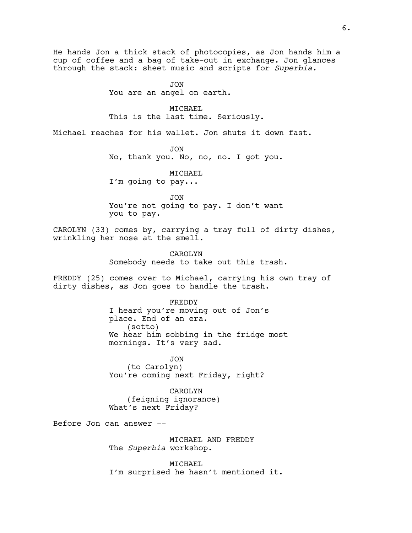He hands Jon a thick stack of photocopies, as Jon hands him a cup of coffee and a bag of take-out in exchange. Jon glances through the stack: sheet music and scripts for *Superbia.* 

> JON You are an angel on earth.

MICHAEL This is the last time. Seriously.

Michael reaches for his wallet. Jon shuts it down fast.

JON

No, thank you. No, no, no. I got you.

MICHAEL

I'm going to pay...

JON You're not going to pay. I don't want you to pay.

CAROLYN (33) comes by, carrying a tray full of dirty dishes, wrinkling her nose at the smell.

> CAROLYN Somebody needs to take out this trash.

FREDDY (25) comes over to Michael, carrying his own tray of dirty dishes, as Jon goes to handle the trash.

> FREDDY I heard you're moving out of Jon's place. End of an era. (sotto) We hear him sobbing in the fridge most mornings. It's very sad.

JON (to Carolyn) You're coming next Friday, right?

CAROLYN (feigning ignorance) What's next Friday?

Before Jon can answer --

MICHAEL AND FREDDY The *Superbia* workshop.

MICHAEL I'm surprised he hasn't mentioned it.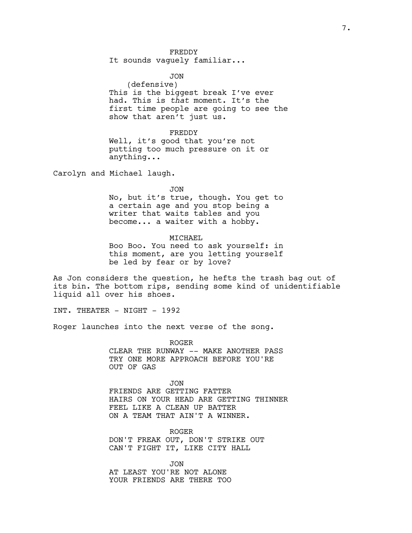# FREDDY

It sounds vaguely familiar...

JON

(defensive) This is the biggest break I've ever had. This is *that* moment. It's the first time people are going to see the show that aren't just us.

FREDDY

Well, it's good that you're not putting too much pressure on it or anything...

Carolyn and Michael laugh.

JON

No, but it's true, though. You get to a certain age and you stop being a writer that waits tables and you become... a waiter with a hobby.

MICHAEL

Boo Boo. You need to ask yourself: in this moment, are you letting yourself be led by fear or by love?

As Jon considers the question, he hefts the trash bag out of its bin. The bottom rips, sending some kind of unidentifiable liquid all over his shoes.

INT. THEATER - NIGHT - 1992

Roger launches into the next verse of the song.

ROGER CLEAR THE RUNWAY -- MAKE ANOTHER PASS TRY ONE MORE APPROACH BEFORE YOU'RE OUT OF GAS

JON FRIENDS ARE GETTING FATTER HAIRS ON YOUR HEAD ARE GETTING THINNER FEEL LIKE A CLEAN UP BATTER ON A TEAM THAT AIN'T A WINNER.

ROGER DON'T FREAK OUT, DON'T STRIKE OUT CAN'T FIGHT IT, LIKE CITY HALL

JON AT LEAST YOU'RE NOT ALONE YOUR FRIENDS ARE THERE TOO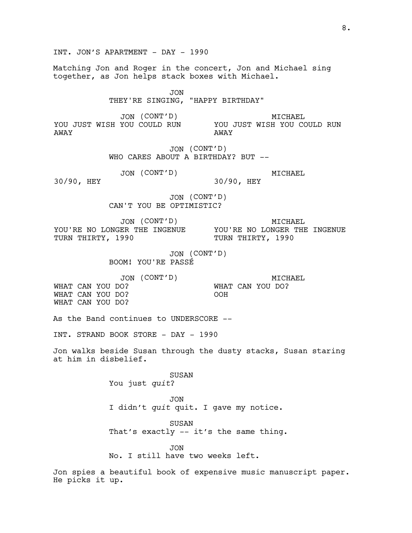INT. JON'S APARTMENT - DAY - 1990 Matching Jon and Roger in the concert, Jon and Michael sing together, as Jon helps stack boxes with Michael. JON THEY'RE SINGING, "HAPPY BIRTHDAY" JON (CONT'D) YOU JUST WISH YOU COULD RUN AWAY MICHAEL YOU JUST WISH YOU COULD RUN AWAY JON (CONT'D) WHO CARES ABOUT A BIRTHDAY? BUT --JON (CONT'D) 30/90, HEY MICHAEL 30/90, HEY JON (CONT'D) CAN'T YOU BE OPTIMISTIC? JON (CONT'D) YOU'RE NO LONGER THE INGENUE TURN THIRTY, 1990 MICHAEL YOU'RE NO LONGER THE INGENUE TURN THIRTY, 1990 JON (CONT'D) BOOM! YOU'RE PASSÉ JON (CONT'D) WHAT CAN YOU DO? WHAT CAN YOU DO? WHAT CAN YOU DO? MICHAEL WHAT CAN YOU DO? OOH As the Band continues to UNDERSCORE -- INT. STRAND BOOK STORE - DAY - 1990 Jon walks beside Susan through the dusty stacks, Susan staring at him in disbelief. SUSAN You just *quit*? JON I didn't *quit* quit. I gave my notice. SUSAN That's exactly -- it's the same thing. JON No. I still have two weeks left. Jon spies a beautiful book of expensive music manuscript paper. He picks it up.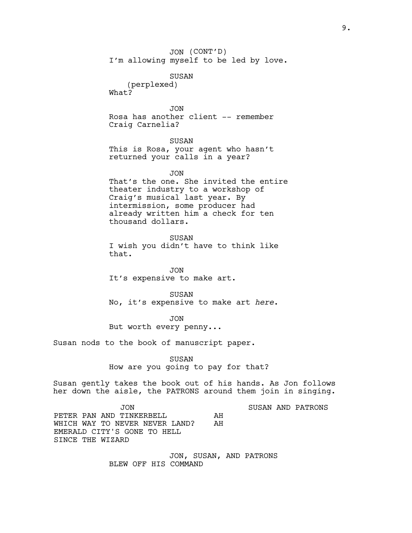JON (CONT'D) I'm allowing myself to be led by love.

SUSAN (perplexed) What?

JON Rosa has another client -- remember Craig Carnelia?

SUSAN

This is Rosa, your agent who hasn't returned your calls in a year?

JON

That's the one. She invited the entire theater industry to a workshop of Craig's musical last year. By intermission, some producer had already written him a check for ten thousand dollars.

SUSAN I wish you didn't have to think like that.

JON It's expensive to make art.

SUSAN No, it's expensive to make art *here*.

JON But worth every penny...

Susan nods to the book of manuscript paper.

SUSAN How are you going to pay for that?

Susan gently takes the book out of his hands. As Jon follows her down the aisle, the PATRONS around them join in singing.

JON PETER PAN AND TINKERBELL WHICH WAY TO NEVER NEVER LAND? EMERALD CITY'S GONE TO HELL SINCE THE WIZARD SUSAN AND PATRONS AH AH

> JON, SUSAN, AND PATRONS BLEW OFF HIS COMMAND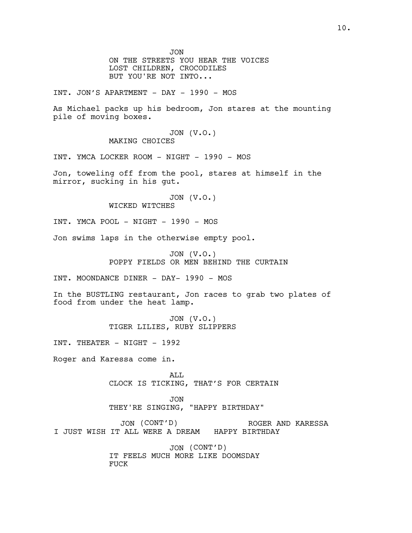JON ON THE STREETS YOU HEAR THE VOICES LOST CHILDREN, CROCODILES BUT YOU'RE NOT INTO...

INT. JON'S APARTMENT - DAY - 1990 - MOS

As Michael packs up his bedroom, Jon stares at the mounting pile of moving boxes.

> JON (V.O.) MAKING CHOICES

INT. YMCA LOCKER ROOM - NIGHT - 1990 - MOS

Jon, toweling off from the pool, stares at himself in the mirror, sucking in his gut.

> JON (V.O.) WICKED WITCHES

INT. YMCA POOL - NIGHT - 1990 - MOS

Jon swims laps in the otherwise empty pool.

JON (V.O.) POPPY FIELDS OR MEN BEHIND THE CURTAIN

INT. MOONDANCE DINER - DAY- 1990 - MOS

In the BUSTLING restaurant, Jon races to grab two plates of food from under the heat lamp.

> JON (V.O.) TIGER LILIES, RUBY SLIPPERS

INT. THEATER - NIGHT - 1992

Roger and Karessa come in.

ALL CLOCK IS TICKING, THAT'S FOR CERTAIN

JON

THEY'RE SINGING, "HAPPY BIRTHDAY"

JON (CONT'D) I JUST WISH IT ALL WERE A DREAM ROGER AND KARESSA HAPPY BIRTHDAY

> JON (CONT'D) IT FEELS MUCH MORE LIKE DOOMSDAY FUCK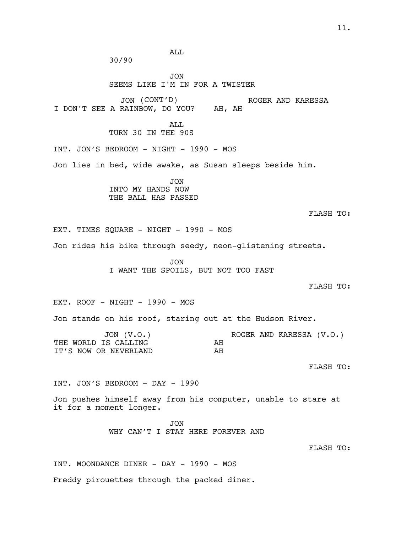30/90

ALL

# JON SEEMS LIKE I'M IN FOR A TWISTER JON (CONT'D) I DON'T SEE A RAINBOW, DO YOU? AH, AH ROGER AND KARESSA ALL TURN 30 IN THE 90S INT. JON'S BEDROOM - NIGHT - 1990 - MOS Jon lies in bed, wide awake, as Susan sleeps beside him. JON INTO MY HANDS NOW THE BALL HAS PASSED FLASH TO: EXT. TIMES SQUARE - NIGHT - 1990 - MOS Jon rides his bike through seedy, neon-glistening streets. JON I WANT THE SPOILS, BUT NOT TOO FAST FLASH TO:  $EXT. ROOF - NIGHT - 1990 - MOS$ Jon stands on his roof, staring out at the Hudson River. JON (V.O.) THE WORLD IS CALLING IT'S NOW OR NEVERLAND ROGER AND KARESSA (V.O.) AH AH FLASH TO: INT. JON'S BEDROOM - DAY - 1990 Jon pushes himself away from his computer, unable to stare at it for a moment longer. JON WHY CAN'T I STAY HERE FOREVER AND FLASH TO:

INT. MOONDANCE DINER - DAY - 1990 - MOS Freddy pirouettes through the packed diner.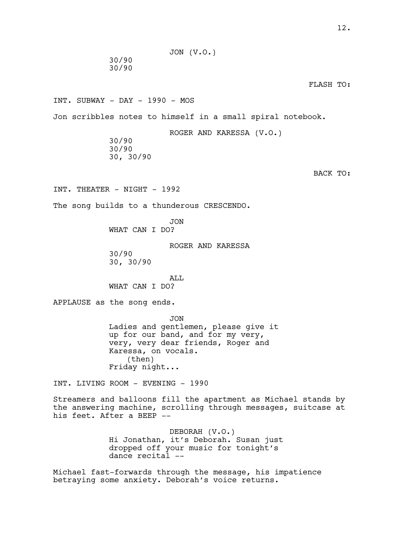JON (V.O.) 30/90 30/90

FLASH TO:

INT. SUBWAY - DAY - 1990 - MOS Jon scribbles notes to himself in a small spiral notebook. ROGER AND KARESSA (V.O.)

30/90 30/90 30, 30/90

BACK TO:

INT. THEATER - NIGHT - 1992

The song builds to a thunderous CRESCENDO.

JON WHAT CAN I DO?

ROGER AND KARESSA

30/90 30, 30/90

ALL WHAT CAN I DO?

APPLAUSE as the song ends.

JON Ladies and gentlemen, please give it up for our band, and for my very, very, very dear friends, Roger and Karessa, on vocals. (then) Friday night...

INT. LIVING ROOM - EVENING - 1990

Streamers and balloons fill the apartment as Michael stands by the answering machine, scrolling through messages, suitcase at his feet. After a BEEP --

> DEBORAH (V.O.) Hi Jonathan, it's Deborah. Susan just dropped off your music for tonight's dance recital --

Michael fast-forwards through the message, his impatience betraying some anxiety. Deborah's voice returns.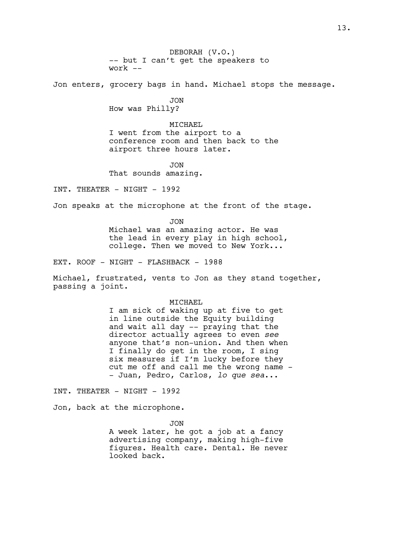DEBORAH (V.O.) -- but I can't get the speakers to work --

Jon enters, grocery bags in hand. Michael stops the message.

JON How was Philly?

MICHAEL I went from the airport to a conference room and then back to the airport three hours later.

JON

That sounds amazing.

INT. THEATER - NIGHT - 1992

Jon speaks at the microphone at the front of the stage.

JON Michael was an amazing actor. He was the lead in every play in high school, college. Then we moved to New York...

EXT. ROOF - NIGHT - FLASHBACK - 1988

Michael, frustrated, vents to Jon as they stand together, passing a joint.

MICHAEL

I am sick of waking up at five to get in line outside the Equity building and wait all day -- praying that the director actually agrees to even *see* anyone that's non-union. And then when I finally do get in the room, I sing six measures if I'm lucky before they cut me off and call me the wrong name - - Juan, Pedro, Carlos, *lo que sea*...

INT. THEATER - NIGHT - 1992

Jon, back at the microphone.

JON A week later, he got a job at a fancy advertising company, making high-five figures. Health care. Dental. He never looked back.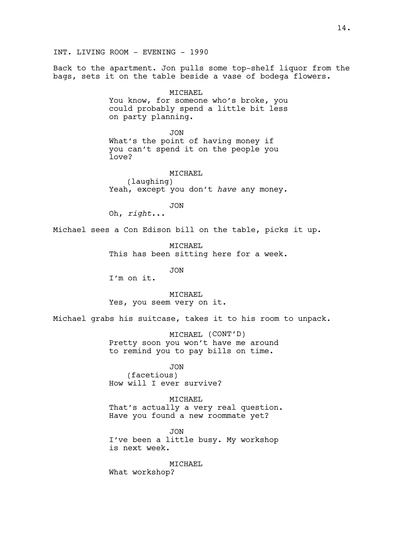INT. LIVING ROOM - EVENING - 1990 Back to the apartment. Jon pulls some top-shelf liquor from the bags, sets it on the table beside a vase of bodega flowers. MICHAEL You know, for someone who's broke, you could probably spend a little bit less on party planning. JON What's the point of having money if you can't spend it on the people you love? MICHAEL (laughing) Yeah, except you don't *have* any money. JON Oh, *right*... Michael sees a Con Edison bill on the table, picks it up. MTCHAEL This has been sitting here for a week. JON I'm on it. MICHAEL Yes, you seem very on it. Michael grabs his suitcase, takes it to his room to unpack. MICHAEL (CONT'D) Pretty soon you won't have me around to remind you to pay bills on time. JON (facetious) How will I ever survive? MICHAEL That's actually a very real question. Have you found a new roommate yet? JON I've been a little busy. My workshop is next week. MICHAEL

What workshop?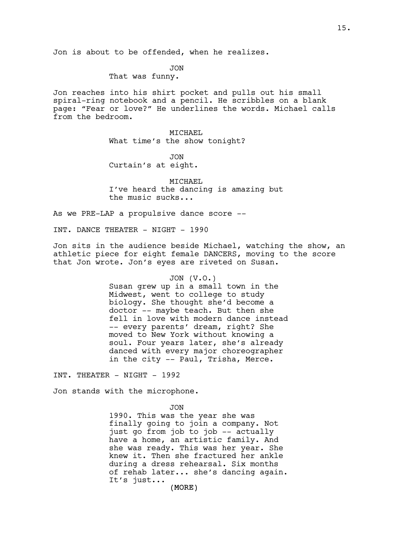JON

That was funny.

Jon reaches into his shirt pocket and pulls out his small spiral-ring notebook and a pencil. He scribbles on a blank page: "Fear or love?" He underlines the words. Michael calls from the bedroom.

> MICHAEL What time's the show tonight?

JON Curtain's at eight.

MICHAEL I've heard the dancing is amazing but the music sucks...

As we PRE-LAP a propulsive dance score --

INT. DANCE THEATER - NIGHT - 1990

Jon sits in the audience beside Michael, watching the show, an athletic piece for eight female DANCERS, moving to the score that Jon wrote. Jon's eyes are riveted on Susan.

#### JON (V.O.)

Susan grew up in a small town in the Midwest, went to college to study biology. She thought she'd become a doctor -- maybe teach. But then she fell in love with modern dance instead -- every parents' dream, right? She moved to New York without knowing a soul. Four years later, she's already danced with every major choreographer in the city -- Paul, Trisha, Merce.

INT. THEATER - NIGHT - 1992

Jon stands with the microphone.

JON

1990. This was the year she was finally going to join a company. Not just go from job to job -- actually have a home, an artistic family. And she was ready. This was her year. She knew it. Then she fractured her ankle during a dress rehearsal. Six months of rehab later... she's dancing again. It's just...

15.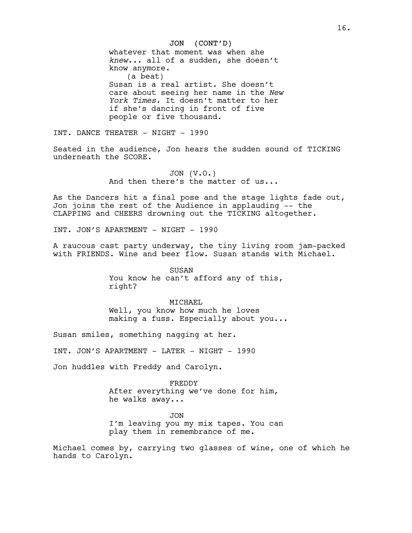(a beat) Susan is a real artist. She doesn't care about seeing her name in the *New York Times*. It doesn't matter to her if she's dancing in front of five people or five thousand.

INT. DANCE THEATER - NIGHT - 1990

know anymore.

Seated in the audience, Jon hears the sudden sound of TICKING underneath the SCORE.

> JON (V.O.) And then there's the matter of us...

As the Dancers hit a final pose and the stage lights fade out, Jon joins the rest of the Audience in applauding -- the CLAPPING and CHEERS drowning out the TICKING altogether.

INT. JON'S APARTMENT - NIGHT - 1990

A raucous cast party underway, the tiny living room jam-packed with FRIENDS. Wine and beer flow. Susan stands with Michael.

> SUSAN You know he can't afford any of this, right?

MTCHAEL Well, you know how much he loves making a fuss. Especially about you...

Susan smiles, something nagging at her.

INT. JON'S APARTMENT - LATER - NIGHT - 1990

Jon huddles with Freddy and Carolyn.

FREDDY After everything we've done for him, he walks away...

JON I'm leaving you my mix tapes. You can play them in remembrance of me.

Michael comes by, carrying two glasses of wine, one of which he hands to Carolyn.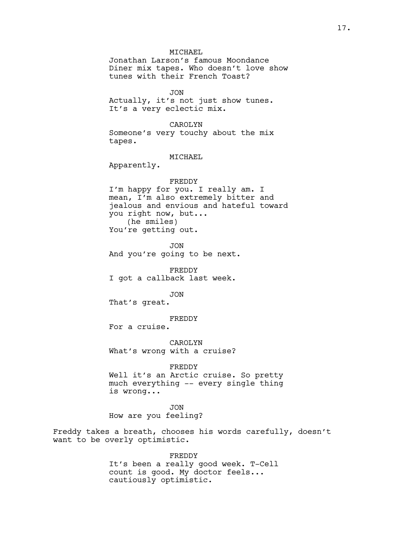#### MTCHAEL

Jonathan Larson's famous Moondance Diner mix tapes. Who doesn't love show tunes with their French Toast?

JON Actually, it's not just show tunes. It's a very eclectic mix.

CAROLYN

Someone's very touchy about the mix tapes.

# MICHAEL

Apparently.

#### FREDDY

I'm happy for you. I really am. I mean, I'm also extremely bitter and jealous and envious and hateful toward you right now, but... (he smiles) You're getting out.

JON And you're going to be next.

FREDDY I got a callback last week.

#### JON

That's great.

#### FREDDY

For a cruise.

CAROLYN What's wrong with a cruise?

#### FREDDY

Well it's an Arctic cruise. So pretty much everything -- every single thing is wrong...

# JON

How are you feeling?

Freddy takes a breath, chooses his words carefully, doesn't want to be overly optimistic.

# FREDDY

It's been a really good week. T-Cell count is good. My doctor feels... cautiously optimistic.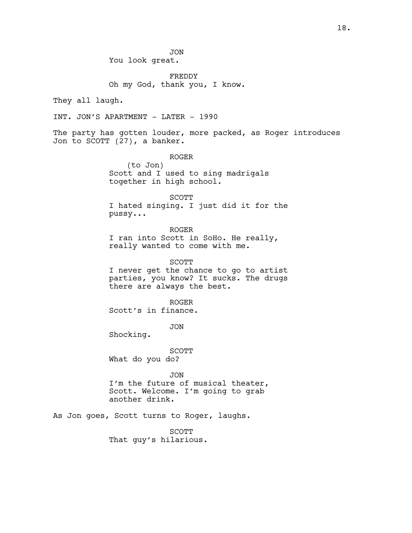JON You look great.

FREDDY Oh my God, thank you, I know.

They all laugh.

INT. JON'S APARTMENT - LATER - 1990

The party has gotten louder, more packed, as Roger introduces Jon to SCOTT (27), a banker.

> ROGER (to Jon) Scott and I used to sing madrigals together in high school.

SCOTT I hated singing. I just did it for the pussy...

ROGER I ran into Scott in SoHo. He really, really wanted to come with me.

SCOTT I never get the chance to go to artist parties, you know? It sucks. The drugs there are always the best.

ROGER Scott's in finance.

JON

Shocking.

SCOTT What do you do?

JON I'm the future of musical theater, Scott. Welcome. I'm going to grab another drink.

As Jon goes, Scott turns to Roger, laughs.

SCOTT That guy's hilarious.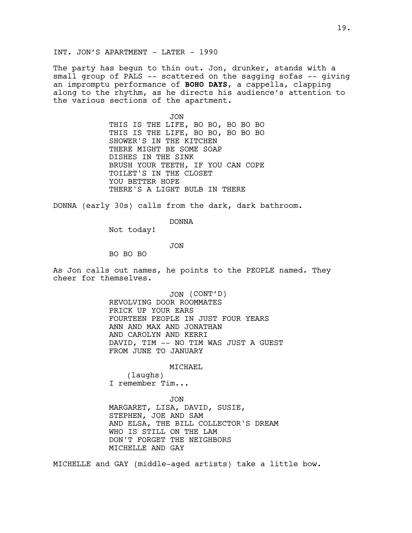The party has begun to thin out. Jon, drunker, stands with a small group of PALS -- scattered on the sagging sofas -- giving an impromptu performance of **BOHO DAYS**, a cappella, clapping along to the rhythm, as he directs his audience's attention to the various sections of the apartment.

> JON THIS IS THE LIFE, BO BO, BO BO BO THIS IS THE LIFE, BO BO, BO BO BO SHOWER'S IN THE KITCHEN THERE MIGHT BE SOME SOAP DISHES IN THE SINK BRUSH YOUR TEETH, IF YOU CAN COPE TOILET'S IN THE CLOSET YOU BETTER HOPE THERE'S A LIGHT BULB IN THERE

DONNA (early 30s) calls from the dark, dark bathroom.

DONNA

Not today!

JON

BO BO BO

As Jon calls out names, he points to the PEOPLE named. They cheer for themselves.

> JON (CONT'D) REVOLVING DOOR ROOMMATES PRICK UP YOUR EARS FOURTEEN PEOPLE IN JUST FOUR YEARS ANN AND MAX AND JONATHAN AND CAROLYN AND KERRI DAVID, TIM -- NO TIM WAS JUST A GUEST FROM JUNE TO JANUARY

> > MICHAEL

(laughs) I remember Tim...

JON MARGARET, LISA, DAVID, SUSIE, STEPHEN, JOE AND SAM AND ELSA, THE BILL COLLECTOR'S DREAM WHO IS STILL ON THE LAM DON'T FORGET THE NEIGHBORS MICHELLE AND GAY

MICHELLE and GAY (middle-aged artists) take a little bow.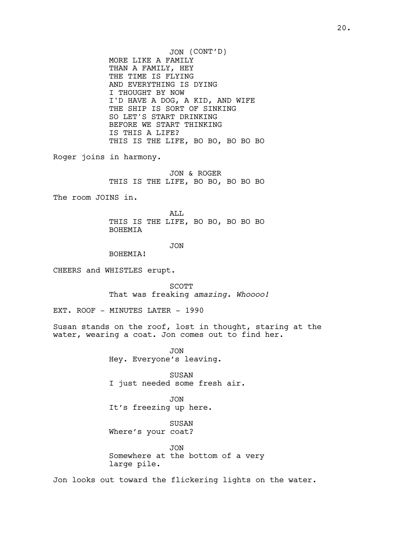JON (CONT'D) MORE LIKE A FAMILY THAN A FAMILY, HEY THE TIME IS FLYING AND EVERYTHING IS DYING I THOUGHT BY NOW I'D HAVE A DOG, A KID, AND WIFE THE SHIP IS SORT OF SINKING SO LET'S START DRINKING BEFORE WE START THINKING IS THIS A LIFE? THIS IS THE LIFE, BO BO, BO BO BO

Roger joins in harmony.

JON & ROGER THIS IS THE LIFE, BO BO, BO BO BO

The room JOINS in.

ALL. THIS IS THE LIFE, BO BO, BO BO BO BOHEMIA

JON

BOHEMIA!

CHEERS and WHISTLES erupt.

SCOTT That was freaking *amazing. Whoooo!*

EXT. ROOF - MINUTES LATER - 1990

Susan stands on the roof, lost in thought, staring at the water, wearing a coat. Jon comes out to find her.

> JON Hey. Everyone's leaving.

SUSAN I just needed some fresh air.

JON It's freezing up here.

SUSAN Where's your coat?

JON Somewhere at the bottom of a very large pile.

Jon looks out toward the flickering lights on the water.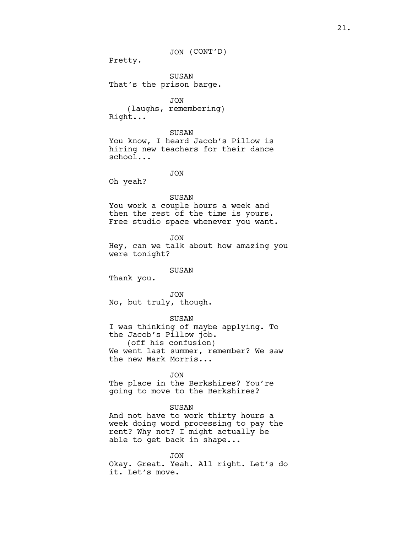JON (CONT'D)

Pretty.

SUSAN That's the prison barge.

JON (laughs, remembering) Right...

## SUSAN

You know, I heard Jacob's Pillow is hiring new teachers for their dance school...

JON

Oh yeah?

#### SUSAN

You work a couple hours a week and then the rest of the time is yours. Free studio space whenever you want.

JON

Hey, can we talk about how amazing you were tonight?

#### SUSAN

Thank you.

JON

No, but truly, though.

SUSAN

I was thinking of maybe applying. To the Jacob's Pillow job. (off his confusion)

We went last summer, remember? We saw the new Mark Morris...

JON

The place in the Berkshires? You're going to move to the Berkshires?

## SUSAN

And not have to work thirty hours a week doing word processing to pay the rent? Why not? I might actually be able to get back in shape...

JON

Okay. Great. Yeah. All right. Let's do it. Let's move.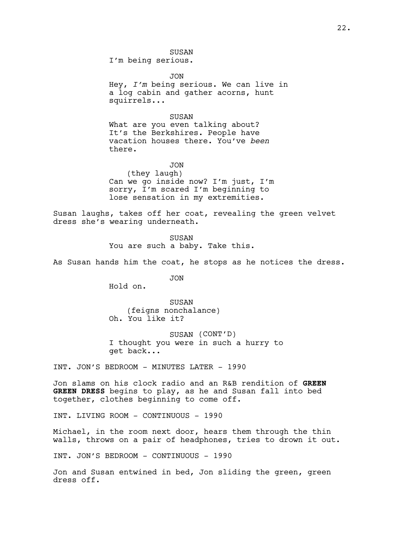I'm being serious.

JON

Hey, *I'm* being serious. We can live in a log cabin and gather acorns, hunt squirrels...

#### SUSAN

What are you even talking about? It's the Berkshires. People have vacation houses there. You've *been*  there.

JON (they laugh) Can we go inside now? I'm just, I'm sorry, I'm scared I'm beginning to lose sensation in my extremities.

Susan laughs, takes off her coat, revealing the green velvet dress she's wearing underneath.

> SUSAN You are such a baby. Take this.

As Susan hands him the coat, he stops as he notices the dress.

JON

Hold on.

SUSAN (feigns nonchalance) Oh. You like it?

SUSAN (CONT'D) I thought you were in such a hurry to get back...

INT. JON'S BEDROOM - MINUTES LATER - 1990

Jon slams on his clock radio and an R&B rendition of **GREEN GREEN DRESS** begins to play, as he and Susan fall into bed together, clothes beginning to come off.

INT. LIVING ROOM - CONTINUOUS - 1990

Michael, in the room next door, hears them through the thin walls, throws on a pair of headphones, tries to drown it out.

INT. JON'S BEDROOM - CONTINUOUS - 1990

Jon and Susan entwined in bed, Jon sliding the green, green dress off.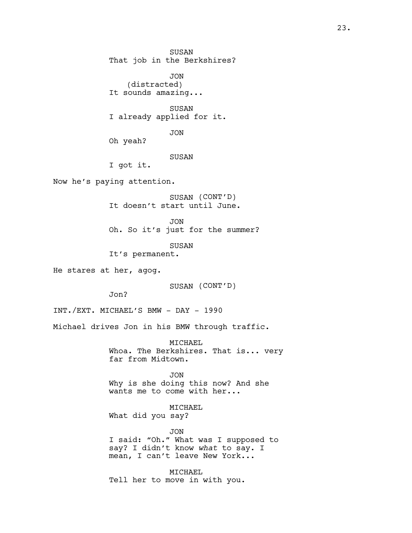SUSAN That job in the Berkshires? JON (distracted) It sounds amazing... SUSAN I already applied for it. JON Oh yeah? SUSAN I got it. Now he's paying attention. SUSAN (CONT'D) It doesn't start until June. JON Oh. So it's just for the summer? SUSAN It's permanent. He stares at her, agog. SUSAN (CONT'D) Jon? INT./EXT. MICHAEL'S BMW - DAY - 1990 Michael drives Jon in his BMW through traffic. MICHAEL Whoa. The Berkshires. That is... very far from Midtown. JON Why is she doing this now? And she wants me to come with her... MICHAEL What did you say? JON I said: "Oh." What was I supposed to say? I didn't know *what* to say. I mean, I can't leave New York...

> MICHAEL Tell her to move in with you.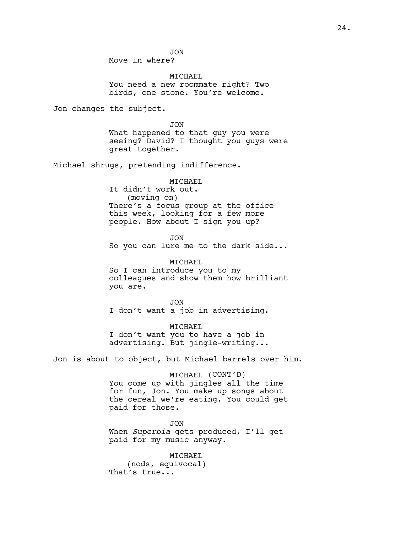JON Move in where?

MICHAEL You need a new roommate right? Two birds, one stone. You're welcome.

Jon changes the subject.

JON What happened to that guy you were seeing? David? I thought you guys were great together.

Michael shrugs, pretending indifference.

MICHAEL It didn't work out. (moving on) There's a focus group at the office this week, looking for a few more people. How about I sign you up?

JON So you can lure me to the dark side...

MICHAEL So I can introduce you to my colleagues and show them how brilliant you are.

JON I don't want a job in advertising.

MICHAEL I don't want you to have a job in advertising. But jingle-writing...

Jon is about to object, but Michael barrels over him.

MICHAEL (CONT'D) You come up with jingles all the time for fun, Jon. You make up songs about the cereal we're eating. You could get paid for those.

JON When *Superbia* gets produced, I'll get paid for my music anyway.

MICHAEL (nods, equivocal) That's true...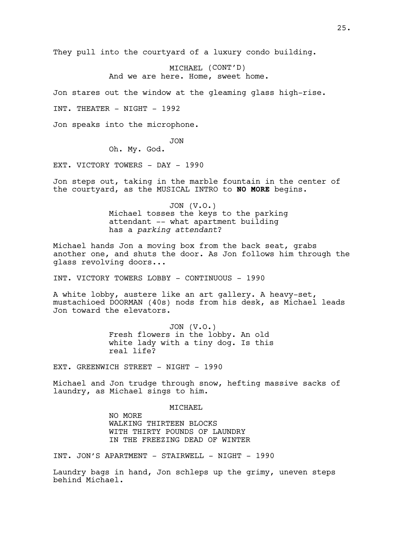They pull into the courtyard of a luxury condo building.

MICHAEL (CONT'D) And we are here. Home, sweet home.

Jon stares out the window at the gleaming glass high-rise.

INT. THEATER - NIGHT - 1992

Jon speaks into the microphone.

JON

Oh. My. God.

EXT. VICTORY TOWERS - DAY - 1990

Jon steps out, taking in the marble fountain in the center of the courtyard, as the MUSICAL INTRO to **NO MORE** begins.

> JON (V.O.) Michael tosses the keys to the parking attendant -- what apartment building has a *parking attendant*?

Michael hands Jon a moving box from the back seat, grabs another one, and shuts the door. As Jon follows him through the glass revolving doors...

INT. VICTORY TOWERS LOBBY - CONTINUOUS - 1990

A white lobby, austere like an art gallery. A heavy-set, mustachioed DOORMAN (40s) nods from his desk, as Michael leads Jon toward the elevators.

> JON (V.O.) Fresh flowers in the lobby. An old white lady with a tiny dog. Is this real life?

EXT. GREENWICH STREET - NIGHT - 1990

Michael and Jon trudge through snow, hefting massive sacks of laundry, as Michael sings to him.

MICHAEL

NO MORE WALKING THIRTEEN BLOCKS WITH THIRTY POUNDS OF LAUNDRY IN THE FREEZING DEAD OF WINTER

INT. JON'S APARTMENT - STAIRWELL - NIGHT - 1990

Laundry bags in hand, Jon schleps up the grimy, uneven steps behind Michael.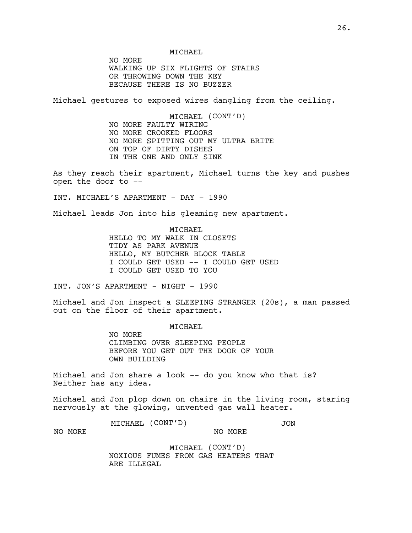MICHAEL

NO MORE WALKING UP SIX FLIGHTS OF STAIRS OR THROWING DOWN THE KEY BECAUSE THERE IS NO BUZZER

Michael gestures to exposed wires dangling from the ceiling.

MICHAEL (CONT'D) NO MORE FAULTY WIRING NO MORE CROOKED FLOORS NO MORE SPITTING OUT MY ULTRA BRITE ON TOP OF DIRTY DISHES IN THE ONE AND ONLY SINK

As they reach their apartment, Michael turns the key and pushes open the door to --

INT. MICHAEL'S APARTMENT - DAY - 1990

Michael leads Jon into his gleaming new apartment.

MICHAEL HELLO TO MY WALK IN CLOSETS TIDY AS PARK AVENUE HELLO, MY BUTCHER BLOCK TABLE I COULD GET USED -- I COULD GET USED I COULD GET USED TO YOU

INT. JON'S APARTMENT - NIGHT - 1990

Michael and Jon inspect a SLEEPING STRANGER (20s), a man passed out on the floor of their apartment.

MICHAEL

NO MORE CLIMBING OVER SLEEPING PEOPLE BEFORE YOU GET OUT THE DOOR OF YOUR OWN BUILDING

Michael and Jon share a look -- do you know who that is? Neither has any idea.

Michael and Jon plop down on chairs in the living room, staring nervously at the glowing, unvented gas wall heater.

NO MORE

MICHAEL (CONT'D)

JON

NO MORE

MICHAEL (CONT'D) NOXIOUS FUMES FROM GAS HEATERS THAT ARE ILLEGAL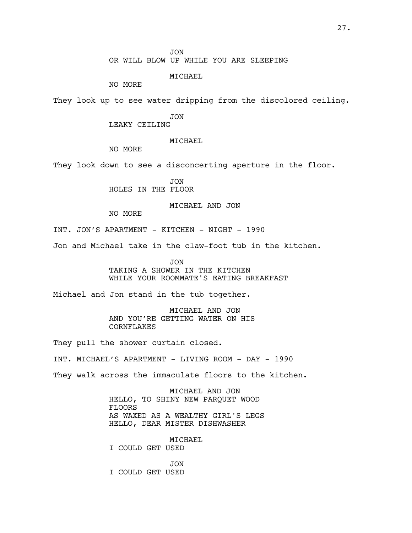JON

OR WILL BLOW UP WHILE YOU ARE SLEEPING

MICHAEL

NO MORE

They look up to see water dripping from the discolored ceiling.

JON

LEAKY CEILING

MICHAEL

NO MORE

They look down to see a disconcerting aperture in the floor.

JON HOLES IN THE FLOOR

MICHAEL AND JON

NO MORE

INT. JON'S APARTMENT - KITCHEN - NIGHT - 1990

Jon and Michael take in the claw-foot tub in the kitchen.

JON

TAKING A SHOWER IN THE KITCHEN WHILE YOUR ROOMMATE'S EATING BREAKFAST

Michael and Jon stand in the tub together.

MICHAEL AND JON AND YOU'RE GETTING WATER ON HIS CORNFLAKES

They pull the shower curtain closed.

INT. MICHAEL'S APARTMENT - LIVING ROOM - DAY - 1990

They walk across the immaculate floors to the kitchen.

MICHAEL AND JON HELLO, TO SHINY NEW PARQUET WOOD FLOORS AS WAXED AS A WEALTHY GIRL'S LEGS HELLO, DEAR MISTER DISHWASHER

MICHAEL

I COULD GET USED

JON I COULD GET USED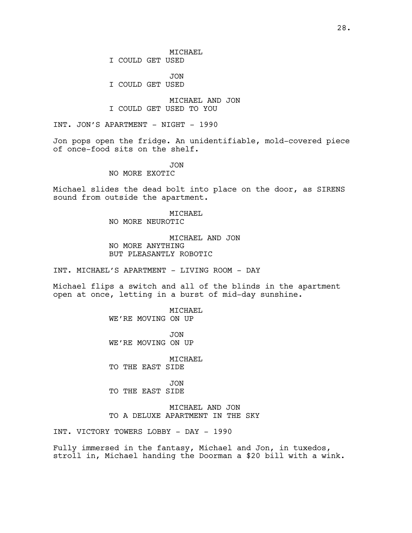MICHAEL

I COULD GET USED

JON I COULD GET USED

MICHAEL AND JON I COULD GET USED TO YOU

INT. JON'S APARTMENT - NIGHT - 1990

Jon pops open the fridge. An unidentifiable, mold-covered piece of once-food sits on the shelf.

> JON NO MORE EXOTIC

Michael slides the dead bolt into place on the door, as SIRENS sound from outside the apartment.

> MTCHAEL NO MORE NEUROTIC

MICHAEL AND JON NO MORE ANYTHING BUT PLEASANTLY ROBOTIC

INT. MICHAEL'S APARTMENT - LIVING ROOM - DAY

Michael flips a switch and all of the blinds in the apartment open at once, letting in a burst of mid-day sunshine.

> MICHAEL WE'RE MOVING ON UP

JON WE'RE MOVING ON UP

# MICHAEL

TO THE EAST SIDE

JON TO THE EAST SIDE

MICHAEL AND JON TO A DELUXE APARTMENT IN THE SKY

INT. VICTORY TOWERS LOBBY - DAY - 1990

Fully immersed in the fantasy, Michael and Jon, in tuxedos, stroll in, Michael handing the Doorman a \$20 bill with a wink.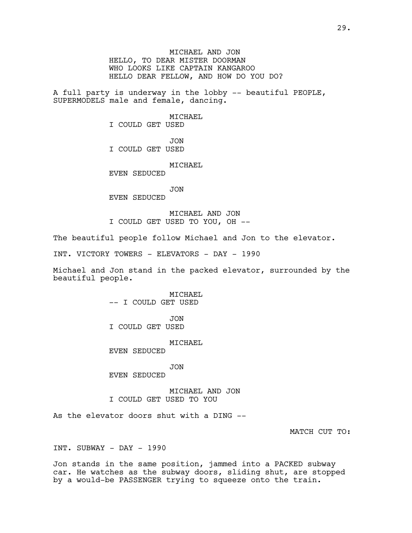MICHAEL AND JON HELLO, TO DEAR MISTER DOORMAN WHO LOOKS LIKE CAPTAIN KANGAROO HELLO DEAR FELLOW, AND HOW DO YOU DO?

A full party is underway in the lobby -- beautiful PEOPLE, SUPERMODELS male and female, dancing.

#### MICHAEL

I COULD GET USED

JON

I COULD GET USED

#### MICHAEL

EVEN SEDUCED

# JON

EVEN SEDUCED

MICHAEL AND JON I COULD GET USED TO YOU, OH --

The beautiful people follow Michael and Jon to the elevator.

INT. VICTORY TOWERS - ELEVATORS - DAY - 1990

Michael and Jon stand in the packed elevator, surrounded by the beautiful people.

# MICHAEL

-- I COULD GET USED

JON I COULD GET USED

#### MICHAEL

EVEN SEDUCED

# JON

EVEN SEDUCED

MICHAEL AND JON I COULD GET USED TO YOU

As the elevator doors shut with a DING --

MATCH CUT TO:

INT. SUBWAY - DAY - 1990

Jon stands in the same position, jammed into a PACKED subway car. He watches as the subway doors, sliding shut, are stopped by a would-be PASSENGER trying to squeeze onto the train.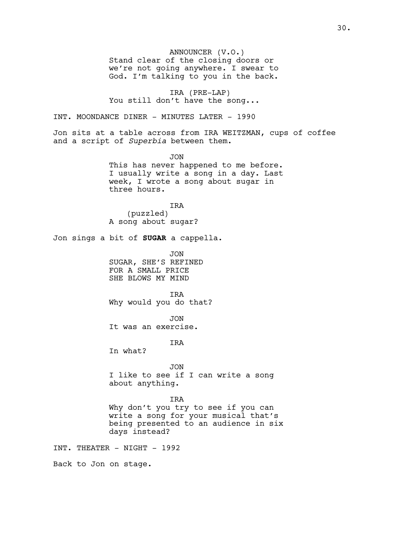ANNOUNCER (V.O.) Stand clear of the closing doors or we're not going anywhere. I swear to God. I'm talking to you in the back.

IRA (PRE-LAP) You still don't have the song...

INT. MOONDANCE DINER - MINUTES LATER - 1990

Jon sits at a table across from IRA WEITZMAN, cups of coffee and a script of *Superbia* between them.

> JON This has never happened to me before. I usually write a song in a day. Last week, I wrote a song about sugar in three hours.

IRA (puzzled) A song about sugar?

Jon sings a bit of **SUGAR** a cappella.

JON SUGAR, SHE'S REFINED FOR A SMALL PRICE SHE BLOWS MY MIND

IRA Why would you do that?

JON It was an exercise.

IRA

In what?

JON I like to see if I can write a song about anything.

#### IRA

Why don't you try to see if you can write a song for your musical that's being presented to an audience in six days instead?

INT. THEATER - NIGHT - 1992

Back to Jon on stage.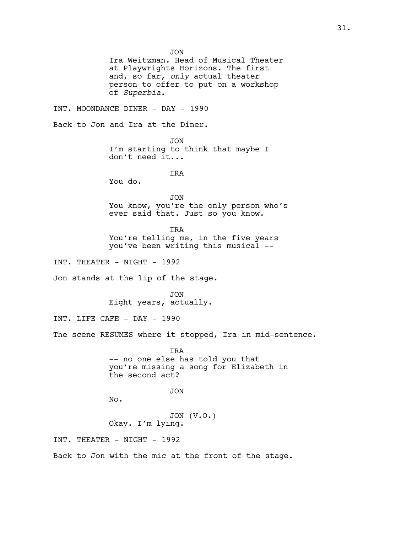JON Ira Weitzman. Head of Musical Theater at Playwrights Horizons. The first and, so far, *only* actual theater person to offer to put on a workshop of *Superbia*. INT. MOONDANCE DINER - DAY - 1990 Back to Jon and Ira at the Diner. JON I'm starting to think that maybe I don't need it... IRA You do. JON You know, you're the only person who's ever said that. Just so you know. IRA You're telling me, in the five years you've been writing this musical -- INT. THEATER - NIGHT - 1992 Jon stands at the lip of the stage. JON Eight years, actually. INT. LIFE CAFE - DAY - 1990 The scene RESUMES where it stopped, Ira in mid-sentence. IRA -- no one else has told you that you're missing a song for Elizabeth in the second act? JON No. JON (V.O.) Okay. I'm lying. INT. THEATER - NIGHT - 1992 Back to Jon with the mic at the front of the stage.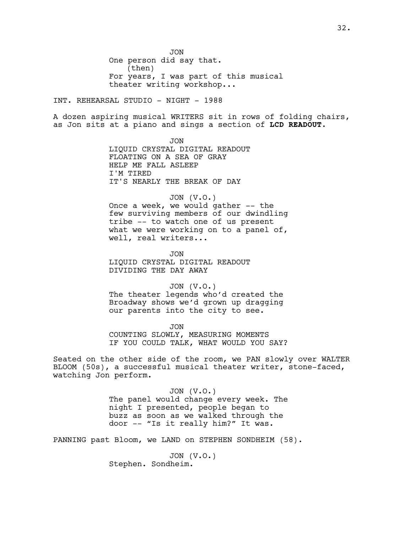JON One person did say that. (then) For years, I was part of this musical theater writing workshop...

INT. REHEARSAL STUDIO - NIGHT - 1988

A dozen aspiring musical WRITERS sit in rows of folding chairs, as Jon sits at a piano and sings a section of **LCD READOUT**.

> JON LIQUID CRYSTAL DIGITAL READOUT FLOATING ON A SEA OF GRAY HELP ME FALL ASLEEP I'M TIRED IT'S NEARLY THE BREAK OF DAY

## JON (V.O.)

Once a week, we would gather -- the few surviving members of our dwindling tribe -- to watch one of us present what we were working on to a panel of, well, real writers...

JON LIQUID CRYSTAL DIGITAL READOUT DIVIDING THE DAY AWAY

#### JON (V.O.)

The theater legends who'd created the Broadway shows we'd grown up dragging our parents into the city to see.

JON COUNTING SLOWLY, MEASURING MOMENTS IF YOU COULD TALK, WHAT WOULD YOU SAY?

Seated on the other side of the room, we PAN slowly over WALTER BLOOM (50s), a successful musical theater writer, stone-faced, watching Jon perform.

> JON (V.O.) The panel would change every week. The night I presented, people began to buzz as soon as we walked through the door -- "Is it really him?" It was.

PANNING past Bloom, we LAND on STEPHEN SONDHEIM (58).

JON (V.O.) Stephen. Sondheim.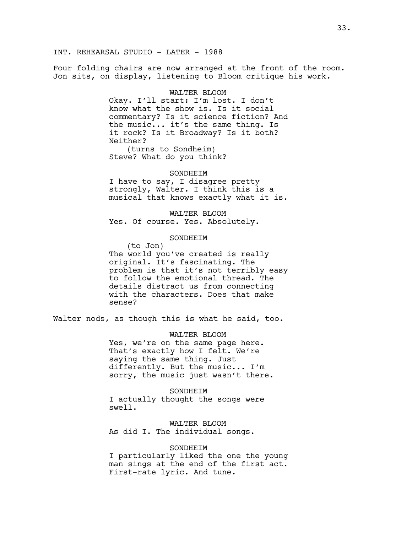Four folding chairs are now arranged at the front of the room. Jon sits, on display, listening to Bloom critique his work.

#### WALTER BLOOM

Okay. I'll start: I'm lost. I don't know what the show is. Is it social commentary? Is it science fiction? And the music... it's the same thing. Is it rock? Is it Broadway? Is it both? Neither?

(turns to Sondheim) Steve? What do you think?

#### SONDHEIM

I have to say, I disagree pretty strongly, Walter. I think this is a musical that knows exactly what it is.

WALTER BLOOM Yes. Of course. Yes. Absolutely.

#### SONDHEIM

(to Jon) The world you've created is really original. It's fascinating. The problem is that it's not terribly easy to follow the emotional thread. The details distract us from connecting with the characters. Does that make sense?

Walter nods, as though this is what he said, too.

WALTER BLOOM Yes, we're on the same page here. That's exactly how I felt. We're saying the same thing. Just differently. But the music... I'm sorry, the music just wasn't there.

SONDHEIM I actually thought the songs were swell.

WALTER BLOOM As did I. The individual songs.

# SONDHEIM

I particularly liked the one the young man sings at the end of the first act. First-rate lyric. And tune.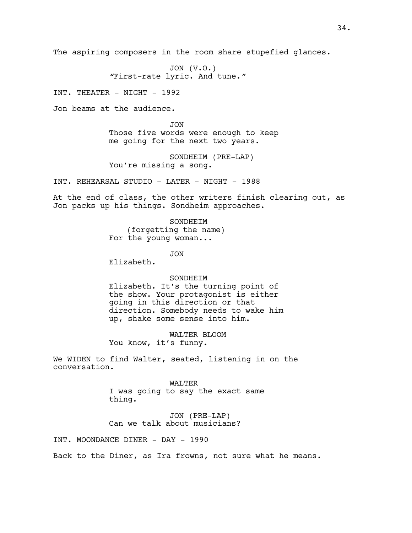The aspiring composers in the room share stupefied glances.

JON (V.O.) *"*First-rate lyric. And tune.*"*

INT. THEATER - NIGHT - 1992

Jon beams at the audience.

JON Those five words were enough to keep me going for the next two years.

SONDHEIM (PRE-LAP) You're missing a song.

INT. REHEARSAL STUDIO - LATER - NIGHT - 1988

At the end of class, the other writers finish clearing out, as Jon packs up his things. Sondheim approaches.

> SONDHEIM (forgetting the name) For the young woman...

> > JON

Elizabeth.

#### SONDHEIM

Elizabeth. It's the turning point of the show. Your protagonist is either going in this direction or that direction. Somebody needs to wake him up, shake some sense into him.

WALTER BLOOM You know, it's funny.

We WIDEN to find Walter, seated, listening in on the conversation.

#### WALTER

I was going to say the exact same thing.

JON (PRE-LAP) Can we talk about musicians?

INT. MOONDANCE DINER - DAY - 1990

Back to the Diner, as Ira frowns, not sure what he means.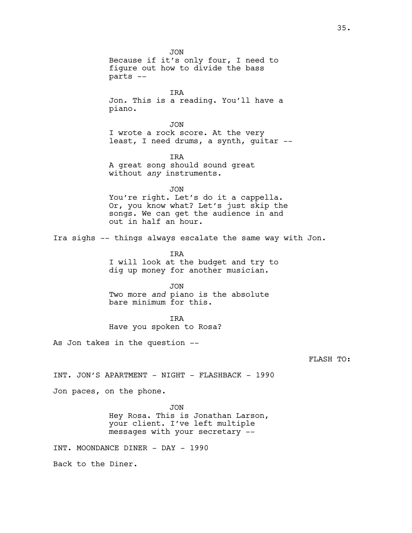JON Because if it's only four, I need to figure out how to divide the bass parts -- IRA Jon. This is a reading. You'll have a piano. JON I wrote a rock score. At the very least, I need drums, a synth, guitar -- IRA A great song should sound great without *any* instruments. JON You're right. Let's do it a cappella. Or, you know what? Let's just skip the songs. We can get the audience in and out in half an hour. Ira sighs -- things always escalate the same way with Jon. IRA I will look at the budget and try to dig up money for another musician. JON Two more *and* piano is the absolute bare minimum for this. **TRA** Have you spoken to Rosa? As Jon takes in the question -- FLASH TO: INT. JON'S APARTMENT - NIGHT - FLASHBACK - 1990 Jon paces, on the phone. JON Hey Rosa. This is Jonathan Larson, your client. I've left multiple messages with your secretary -- INT. MOONDANCE DINER - DAY - 1990 Back to the Diner.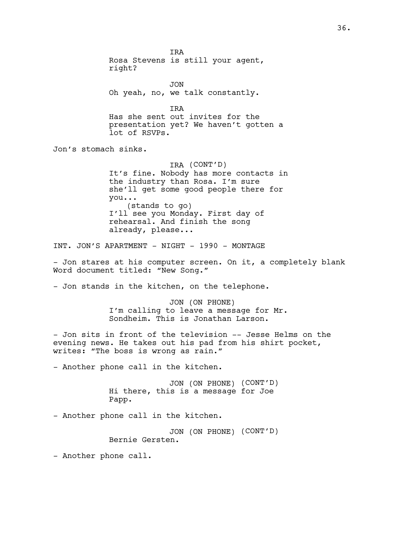IRA Rosa Stevens is still your agent, right? JON Oh yeah, no, we talk constantly. IRA Has she sent out invites for the presentation yet? We haven't gotten a lot of RSVPs. Jon's stomach sinks. IRA (CONT'D) It's fine. Nobody has more contacts in the industry than Rosa. I'm sure she'll get some good people there for you... (stands to go) I'll see you Monday. First day of rehearsal. And finish the song already, please... INT. JON'S APARTMENT - NIGHT - 1990 - MONTAGE - Jon stares at his computer screen. On it, a completely blank Word document titled: "New Song." - Jon stands in the kitchen, on the telephone. JON (ON PHONE) I'm calling to leave a message for Mr. Sondheim. This is Jonathan Larson. - Jon sits in front of the television -- Jesse Helms on the evening news. He takes out his pad from his shirt pocket, writes: "The boss is wrong as rain." - Another phone call in the kitchen. JON (ON PHONE) (CONT'D) Hi there, this is a message for Joe Papp. - Another phone call in the kitchen. JON (ON PHONE) (CONT'D) Bernie Gersten. - Another phone call.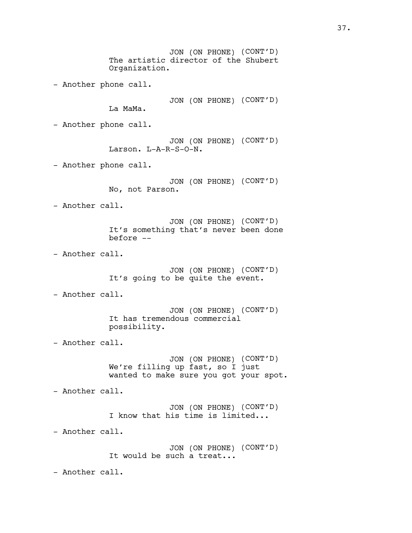JON (ON PHONE) (CONT'D) The artistic director of the Shubert Organization. - Another phone call. JON (ON PHONE) (CONT'D) La MaMa. - Another phone call. JON (ON PHONE) (CONT'D) Larson. L-A-R-S-O-N. - Another phone call. JON (ON PHONE) (CONT'D) No, not Parson. - Another call. JON (ON PHONE) (CONT'D) It's something that's never been done before -- - Another call. JON (ON PHONE) (CONT'D) It's going to be quite the event. - Another call. JON (ON PHONE) (CONT'D) It has tremendous commercial possibility. - Another call. JON (ON PHONE) (CONT'D) We're filling up fast, so I just wanted to make sure you got your spot. - Another call. JON (ON PHONE) (CONT'D) I know that his time is limited... - Another call. JON (ON PHONE) (CONT'D) It would be such a treat... - Another call.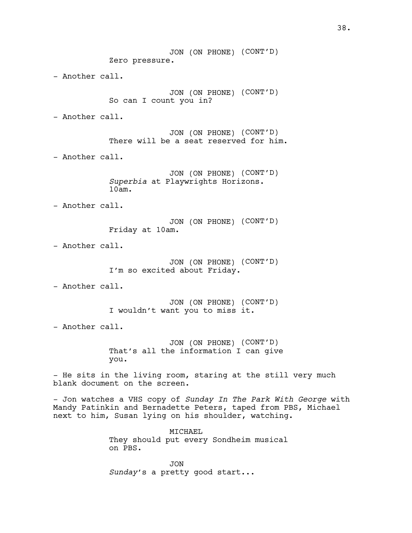JON (ON PHONE) (CONT'D) Zero pressure. - Another call. JON (ON PHONE) (CONT'D) So can I count you in? - Another call. JON (ON PHONE) (CONT'D) There will be a seat reserved for him. - Another call. JON (ON PHONE) (CONT'D) *Superbia* at Playwrights Horizons. 10am. - Another call. JON (ON PHONE) (CONT'D) Friday at 10am. - Another call. JON (ON PHONE) (CONT'D) I'm so excited about Friday. - Another call. JON (ON PHONE) (CONT'D) I wouldn't want you to miss it. - Another call. JON (ON PHONE) (CONT'D) That's all the information I can give you. - He sits in the living room, staring at the still very much blank document on the screen. - Jon watches a VHS copy of *Sunday In The Park With George* with Mandy Patinkin and Bernadette Peters, taped from PBS, Michael next to him, Susan lying on his shoulder, watching. MICHAEL They should put every Sondheim musical on PBS. JON

*Sunday*'s a pretty good start...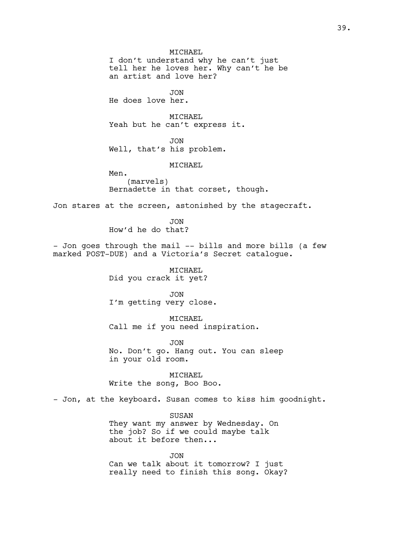JON He does love her.

MICHAEL Yeah but he can't express it.

JON Well, that's his problem.

MICHAEL

Men. (marvels) Bernadette in that corset, though.

Jon stares at the screen, astonished by the stagecraft.

JON How'd he do that?

- Jon goes through the mail –- bills and more bills (a few marked POST-DUE) and a Victoria's Secret catalogue.

> MICHAEL Did you crack it yet?

JON I'm getting very close.

MICHAEL

Call me if you need inspiration.

JON No. Don't go. Hang out. You can sleep in your old room.

MICHAEL Write the song, Boo Boo.

- Jon, at the keyboard. Susan comes to kiss him goodnight.

SUSAN They want my answer by Wednesday. On the job? So if we could maybe talk about it before then...

JON Can we talk about it tomorrow? I just really need to finish this song. Okay?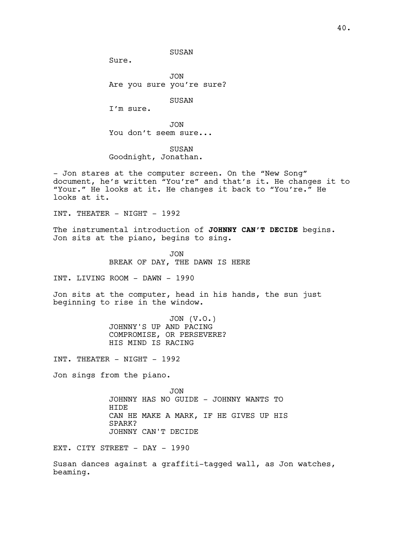SUSAN

Sure.

JON Are you sure you're sure?

SUSAN

I'm sure.

JON You don't seem sure...

SUSAN Goodnight, Jonathan.

- Jon stares at the computer screen. On the "New Song" document, he's written "You're" and that's it. He changes it to "Your." He looks at it. He changes it back to "You're." He looks at it.

INT. THEATER - NIGHT - 1992

The instrumental introduction of **JOHNNY CAN'T DECIDE** begins. Jon sits at the piano, begins to sing.

> JON BREAK OF DAY, THE DAWN IS HERE

INT. LIVING ROOM - DAWN - 1990

Jon sits at the computer, head in his hands, the sun just beginning to rise in the window.

> JON (V.O.) JOHNNY'S UP AND PACING COMPROMISE, OR PERSEVERE? HIS MIND IS RACING

INT. THEATER - NIGHT - 1992

Jon sings from the piano.

JON JOHNNY HAS NO GUIDE - JOHNNY WANTS TO HIDE CAN HE MAKE A MARK, IF HE GIVES UP HIS SPARK? JOHNNY CAN'T DECIDE

EXT. CITY STREET - DAY - 1990

Susan dances against a graffiti-tagged wall, as Jon watches, beaming.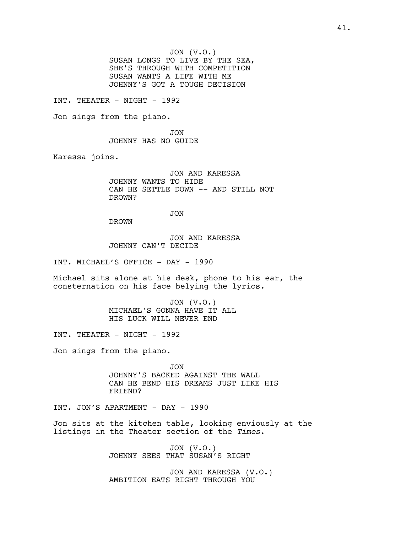JON (V.O.) SUSAN LONGS TO LIVE BY THE SEA, SHE'S THROUGH WITH COMPETITION SUSAN WANTS A LIFE WITH ME JOHNNY'S GOT A TOUGH DECISION

INT. THEATER - NIGHT - 1992

Jon sings from the piano.

JON JOHNNY HAS NO GUIDE

Karessa joins.

JON AND KARESSA JOHNNY WANTS TO HIDE CAN HE SETTLE DOWN -- AND STILL NOT DROWN?

JON

DROWN

JON AND KARESSA JOHNNY CAN'T DECIDE

INT. MICHAEL'S OFFICE - DAY - 1990

Michael sits alone at his desk, phone to his ear, the consternation on his face belying the lyrics.

> JON (V.O.) MICHAEL'S GONNA HAVE IT ALL HIS LUCK WILL NEVER END

INT. THEATER - NIGHT - 1992

Jon sings from the piano.

JON JOHNNY'S BACKED AGAINST THE WALL CAN HE BEND HIS DREAMS JUST LIKE HIS FRIEND?

INT. JON'S APARTMENT - DAY - 1990

Jon sits at the kitchen table, looking enviously at the listings in the Theater section of the *Times*.

> JON (V.O.) JOHNNY SEES THAT SUSAN'S RIGHT

JON AND KARESSA (V.O.) AMBITION EATS RIGHT THROUGH YOU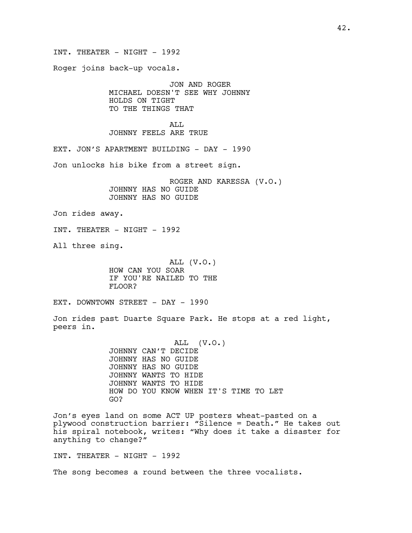INT. THEATER - NIGHT - 1992

Roger joins back-up vocals.

JON AND ROGER MICHAEL DOESN'T SEE WHY JOHNNY HOLDS ON TIGHT TO THE THINGS THAT

ALL. JOHNNY FEELS ARE TRUE

EXT. JON'S APARTMENT BUILDING - DAY - 1990

Jon unlocks his bike from a street sign.

ROGER AND KARESSA (V.O.) JOHNNY HAS NO GUIDE JOHNNY HAS NO GUIDE

Jon rides away.

INT. THEATER - NIGHT - 1992

All three sing.

ALL (V.O.) HOW CAN YOU SOAR IF YOU'RE NAILED TO THE FLOOR?

EXT. DOWNTOWN STREET - DAY - 1990

Jon rides past Duarte Square Park. He stops at a red light, peers in.

> ALL (V.O.) JOHNNY CAN'T DECIDE JOHNNY HAS NO GUIDE JOHNNY HAS NO GUIDE JOHNNY WANTS TO HIDE JOHNNY WANTS TO HIDE HOW DO YOU KNOW WHEN IT'S TIME TO LET GO?

Jon's eyes land on some ACT UP posters wheat-pasted on a plywood construction barrier: "Silence = Death." He takes out his spiral notebook, writes: "Why does it take a disaster for anything to change?"

INT. THEATER - NIGHT - 1992

The song becomes a round between the three vocalists.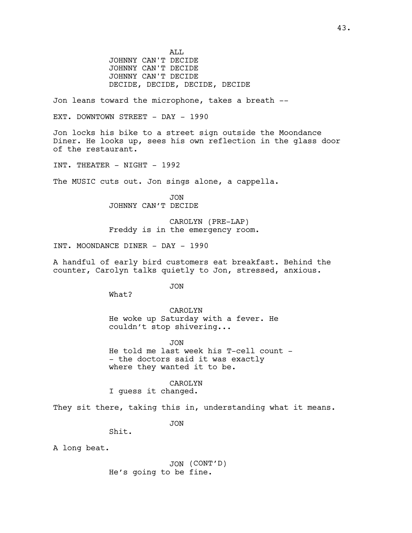ALL. JOHNNY CAN'T DECIDE JOHNNY CAN'T DECIDE JOHNNY CAN'T DECIDE DECIDE, DECIDE, DECIDE, DECIDE

Jon leans toward the microphone, takes a breath --

EXT. DOWNTOWN STREET - DAY - 1990

Jon locks his bike to a street sign outside the Moondance Diner. He looks up, sees his own reflection in the glass door of the restaurant.

INT. THEATER - NIGHT - 1992

The MUSIC cuts out. Jon sings alone, a cappella.

JON JOHNNY CAN'T DECIDE

CAROLYN (PRE-LAP) Freddy is in the emergency room.

INT. MOONDANCE DINER - DAY - 1990

A handful of early bird customers eat breakfast. Behind the counter, Carolyn talks quietly to Jon, stressed, anxious.

JON

What?

CAROLYN He woke up Saturday with a fever. He couldn't stop shivering...

JON He told me last week his T-cell count -- the doctors said it was exactly where they wanted it to be.

CAROLYN I guess it changed.

They sit there, taking this in, understanding what it means.

JON

Shit.

A long beat.

JON (CONT'D) He's going to be fine.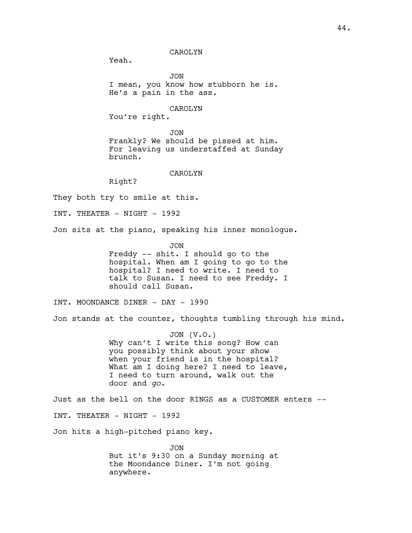## CAROLYN

Yeah.

JON I mean, you know how stubborn he is. He's a pain in the ass.

#### CAROLYN

You're right.

JON Frankly? We should be pissed at him. For leaving us understaffed at Sunday brunch.

#### CAROLYN

Right?

They both try to smile at this.

INT. THEATER - NIGHT - 1992

Jon sits at the piano, speaking his inner monologue.

JON

Freddy -- shit. I should go to the hospital. When am I going to go to the hospital? I need to write. I need to talk to Susan. I need to see Freddy. I should call Susan.

INT. MOONDANCE DINER - DAY - 1990 Jon stands at the counter, thoughts tumbling through his mind.

> JON (V.O.) Why can't I write this song? How can you possibly think about your show when your friend is in the hospital? What am I doing here? I need to leave, I need to turn around, walk out the door and *go*.

Just as the bell on the door RINGS as a CUSTOMER enters -- INT. THEATER - NIGHT - 1992 Jon hits a high-pitched piano key.

> JON But it's 9:30 on a Sunday morning at the Moondance Diner. I'm not going anywhere.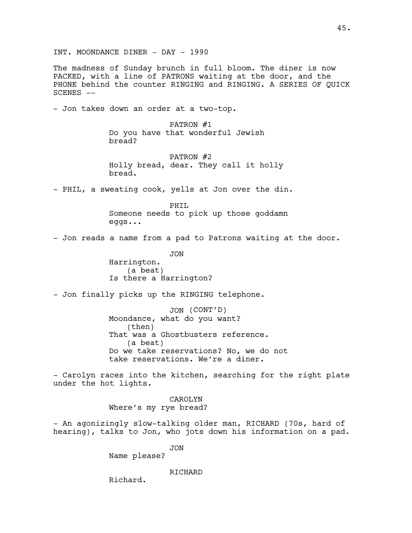The madness of Sunday brunch in full bloom. The diner is now PACKED, with a line of PATRONS waiting at the door, and the PHONE behind the counter RINGING and RINGING. A SERIES OF QUICK SCENES --

- Jon takes down an order at a two-top.

PATRON #1 Do you have that wonderful Jewish bread?

PATRON #2 Holly bread, dear. They call it holly bread.

- PHIL, a sweating cook, yells at Jon over the din.

PHIL

Someone needs to pick up those goddamn eggs...

- Jon reads a name from a pad to Patrons waiting at the door.

JON

Harrington. (a beat) Is there a Harrington?

- Jon finally picks up the RINGING telephone.

JON (CONT'D) Moondance, what do you want? (then) That was a Ghostbusters reference. (a beat) Do we take reservations? No, we do not take reservations. We're a diner.

- Carolyn races into the kitchen, searching for the right plate under the hot lights.

> CAROLYN Where's my rye bread?

- An agonizingly slow-talking older man, RICHARD (70s, hard of hearing), talks to Jon, who jots down his information on a pad.

JON

Name please?

RICHARD

Richard.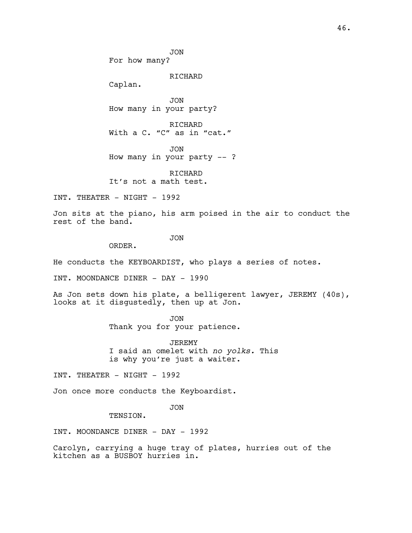JON

For how many?

RICHARD

Caplan.

JON How many in your party?

RICHARD With a C. "C" as in "cat."

JON How many in your party -- ?

RICHARD It's not a math test.

INT. THEATER - NIGHT - 1992

Jon sits at the piano, his arm poised in the air to conduct the rest of the band.

JON

ORDER.

He conducts the KEYBOARDIST, who plays a series of notes.

INT. MOONDANCE DINER - DAY - 1990

As Jon sets down his plate, a belligerent lawyer, JEREMY (40s), looks at it disgustedly, then up at Jon.

JON

Thank you for your patience.

JEREMY I said an omelet with *no yolks.* This is why you're just a waiter.

INT. THEATER - NIGHT - 1992

Jon once more conducts the Keyboardist.

JON

TENSION.

INT. MOONDANCE DINER - DAY - 1992

Carolyn, carrying a huge tray of plates, hurries out of the kitchen as a BUSBOY hurries in.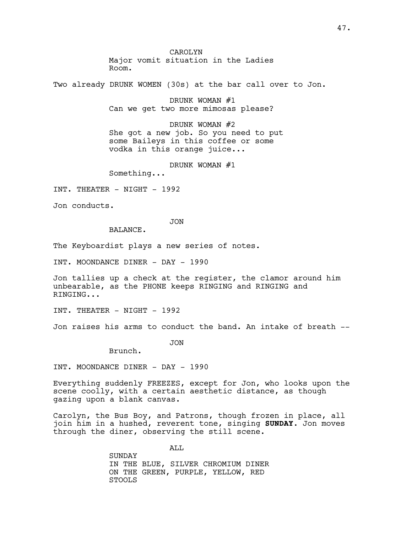CAROLYN Major vomit situation in the Ladies Room.

Two already DRUNK WOMEN (30s) at the bar call over to Jon.

DRUNK WOMAN #1 Can we get two more mimosas please?

DRUNK WOMAN #2 She got a new job. So you need to put some Baileys in this coffee or some vodka in this orange juice...

DRUNK WOMAN #1

Something...

INT. THEATER - NIGHT - 1992

Jon conducts.

### JON

BALANCE.

The Keyboardist plays a new series of notes.

INT. MOONDANCE DINER - DAY - 1990

Jon tallies up a check at the register, the clamor around him unbearable, as the PHONE keeps RINGING and RINGING and RINGING...

INT. THEATER - NIGHT - 1992

Jon raises his arms to conduct the band. An intake of breath --

JON

Brunch.

INT. MOONDANCE DINER - DAY - 1990

Everything suddenly FREEZES, except for Jon, who looks upon the scene coolly, with a certain aesthetic distance, as though gazing upon a blank canvas.

Carolyn, the Bus Boy, and Patrons, though frozen in place, all join him in a hushed, reverent tone, singing **SUNDAY**. Jon moves through the diner, observing the still scene.

> ALL SUNDAY IN THE BLUE, SILVER CHROMIUM DINER ON THE GREEN, PURPLE, YELLOW, RED STOOLS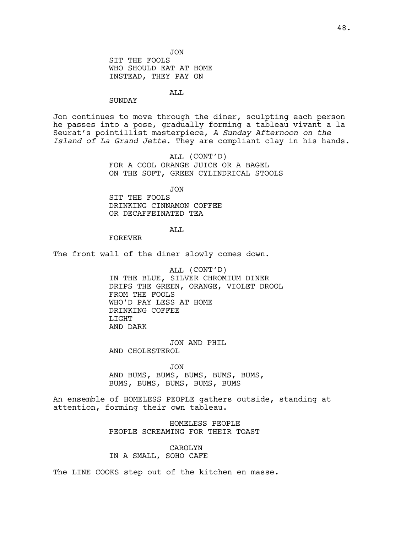JON

SIT THE FOOLS WHO SHOULD EAT AT HOME INSTEAD, THEY PAY ON

# ALL

### SUNDAY

Jon continues to move through the diner, sculpting each person he passes into a pose, gradually forming a tableau vivant a la Seurat's pointillist masterpiece, *A Sunday Afternoon on the Island of La Grand Jette*. They are compliant clay in his hands.

> ALL (CONT'D) FOR A COOL ORANGE JUICE OR A BAGEL ON THE SOFT, GREEN CYLINDRICAL STOOLS

JON SIT THE FOOLS DRINKING CINNAMON COFFEE OR DECAFFEINATED TEA

## ALL

FOREVER

The front wall of the diner slowly comes down.

ALL (CONT'D) IN THE BLUE, SILVER CHROMIUM DINER DRIPS THE GREEN, ORANGE, VIOLET DROOL FROM THE FOOLS WHO'D PAY LESS AT HOME DRINKING COFFEE **LIGHT** AND DARK

JON AND PHIL AND CHOLESTEROL

JON AND BUMS, BUMS, BUMS, BUMS, BUMS, BUMS, BUMS, BUMS, BUMS, BUMS

An ensemble of HOMELESS PEOPLE gathers outside, standing at attention, forming their own tableau.

> HOMELESS PEOPLE PEOPLE SCREAMING FOR THEIR TOAST

CAROLYN IN A SMALL, SOHO CAFE

The LINE COOKS step out of the kitchen en masse.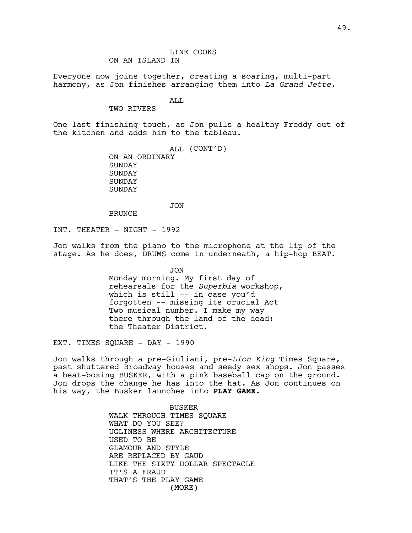# LINE COOKS ON AN ISLAND IN

Everyone now joins together, creating a soaring, multi-part harmony, as Jon finishes arranging them into *La Grand Jette.* 

ALL

TWO RIVERS

One last finishing touch, as Jon pulls a healthy Freddy out of the kitchen and adds him to the tableau.

> ALL (CONT'D) ON AN ORDINARY SUNDAY SUNDAY SUNDAY SUNDAY

> > JON

BRUNCH

INT. THEATER - NIGHT - 1992

Jon walks from the piano to the microphone at the lip of the stage. As he does, DRUMS come in underneath, a hip-hop BEAT.

JON

Monday morning. My first day of rehearsals for the *Superbia* workshop, which is still -- in case you'd forgotten -- missing its crucial Act Two musical number. I make my way there through the land of the dead: the Theater District.

EXT. TIMES SQUARE - DAY - 1990

Jon walks through a pre-Giuliani, pre-*Lion King* Times Square, past shuttered Broadway houses and seedy sex shops. Jon passes a beat-boxing BUSKER, with a pink baseball cap on the ground. Jon drops the change he has into the hat. As Jon continues on his way, the Busker launches into **PLAY GAME.** 

> (MORE) BUSKER WALK THROUGH TIMES SOUARE WHAT DO YOU SEE? UGLINESS WHERE ARCHITECTURE USED TO BE GLAMOUR AND STYLE ARE REPLACED BY GAUD LIKE THE SIXTY DOLLAR SPECTACLE IT'S A FRAUD THAT'S THE PLAY GAME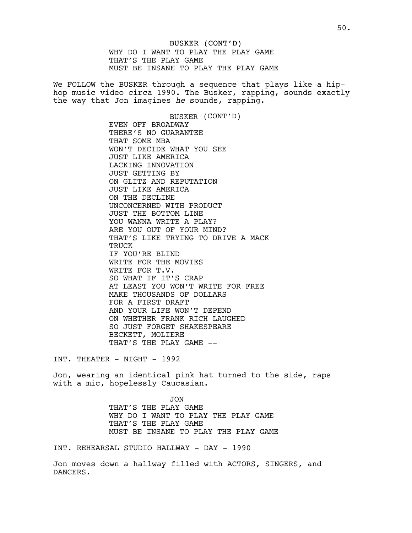BUSKER (CONT'D) WHY DO I WANT TO PLAY THE PLAY GAME THAT'S THE PLAY GAME MUST BE INSANE TO PLAY THE PLAY GAME

We FOLLOW the BUSKER through a sequence that plays like a hiphop music video circa 1990. The Busker, rapping, sounds exactly the way that Jon imagines *he* sounds, rapping.

> BUSKER (CONT'D) EVEN OFF BROADWAY THERE'S NO GUARANTEE THAT SOME MBA WON'T DECIDE WHAT YOU SEE JUST LIKE AMERICA LACKING INNOVATION JUST GETTING BY ON GLITZ AND REPUTATION JUST LIKE AMERICA ON THE DECLINE UNCONCERNED WITH PRODUCT JUST THE BOTTOM LINE YOU WANNA WRITE A PLAY? ARE YOU OUT OF YOUR MIND? THAT'S LIKE TRYING TO DRIVE A MACK **TRUCK** IF YOU'RE BLIND WRITE FOR THE MOVIES WRITE FOR T.V. SO WHAT IF IT'S CRAP AT LEAST YOU WON'T WRITE FOR FREE MAKE THOUSANDS OF DOLLARS FOR A FIRST DRAFT AND YOUR LIFE WON'T DEPEND ON WHETHER FRANK RICH LAUGHED SO JUST FORGET SHAKESPEARE BECKETT, MOLIERE THAT'S THE PLAY GAME --

INT. THEATER - NIGHT - 1992

Jon, wearing an identical pink hat turned to the side, raps with a mic, hopelessly Caucasian.

> JON THAT'S THE PLAY GAME WHY DO I WANT TO PLAY THE PLAY GAME THAT'S THE PLAY GAME MUST BE INSANE TO PLAY THE PLAY GAME

INT. REHEARSAL STUDIO HALLWAY - DAY - 1990

Jon moves down a hallway filled with ACTORS, SINGERS, and DANCERS.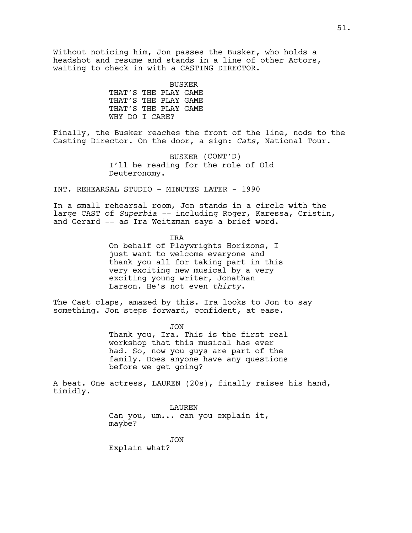Without noticing him, Jon passes the Busker, who holds a headshot and resume and stands in a line of other Actors, waiting to check in with a CASTING DIRECTOR.

> BUSKER THAT'S THE PLAY GAME THAT'S THE PLAY GAME THAT'S THE PLAY GAME WHY DO I CARE?

Finally, the Busker reaches the front of the line, nods to the Casting Director. On the door, a sign: *Cats*, National Tour.

> BUSKER (CONT'D) I'll be reading for the role of Old Deuteronomy.

INT. REHEARSAL STUDIO - MINUTES LATER - 1990

In a small rehearsal room, Jon stands in a circle with the large CAST of *Superbia --* including Roger, Karessa, Cristin, and Gerard -- as Ira Weitzman says a brief word.

IRA

On behalf of Playwrights Horizons, I just want to welcome everyone and thank you all for taking part in this very exciting new musical by a very exciting young writer, Jonathan Larson. He's not even *thirty*.

The Cast claps, amazed by this. Ira looks to Jon to say something. Jon steps forward, confident, at ease.

> JON Thank you, Ira. This is the first real workshop that this musical has ever had. So, now you guys are part of the family. Does anyone have any questions before we get going?

A beat. One actress, LAUREN (20s), finally raises his hand, timidly.

LAUREN

Can you, um... can you explain it, maybe?

JON

Explain what?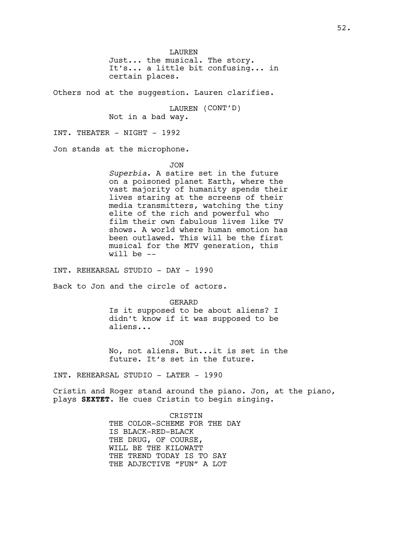LAUREN

Just... the musical. The story. It's... a little bit confusing... in certain places.

Others nod at the suggestion. Lauren clarifies.

LAUREN (CONT'D) Not in a bad way.

INT. THEATER - NIGHT - 1992

Jon stands at the microphone.

#### JON

*Superbia*. A satire set in the future on a poisoned planet Earth, where the vast majority of humanity spends their lives staring at the screens of their media transmitters, watching the tiny elite of the rich and powerful who film their own fabulous lives like TV shows. A world where human emotion has been outlawed. This will be the first musical for the MTV generation, this will be  $-$ 

INT. REHEARSAL STUDIO - DAY - 1990

Back to Jon and the circle of actors.

GERARD

Is it supposed to be about aliens? I didn't know if it was supposed to be aliens...

JON No, not aliens. But...it is set in the future. It's set in the future.

INT. REHEARSAL STUDIO - LATER - 1990

Cristin and Roger stand around the piano. Jon, at the piano, plays **SEXTET**. He cues Cristin to begin singing.

> CRISTIN THE COLOR-SCHEME FOR THE DAY IS BLACK-RED-BLACK THE DRUG, OF COURSE, WILL BE THE KILOWATT THE TREND TODAY IS TO SAY THE ADJECTIVE "FUN" A LOT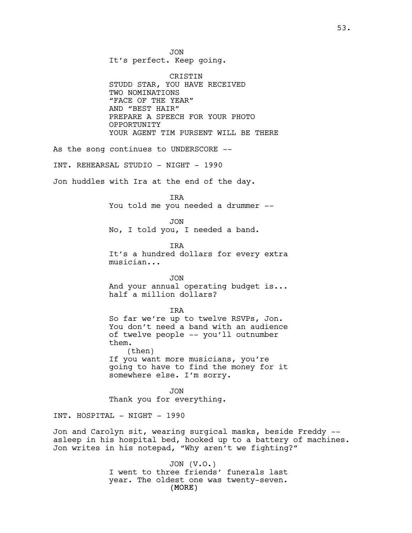JON It's perfect. Keep going.

CRISTIN STUDD STAR, YOU HAVE RECEIVED TWO NOMINATIONS "FACE OF THE YEAR" AND "BEST HAIR" PREPARE A SPEECH FOR YOUR PHOTO OPPORTUNITY YOUR AGENT TIM PURSENT WILL BE THERE

As the song continues to UNDERSCORE --

INT. REHEARSAL STUDIO - NIGHT - 1990

Jon huddles with Ira at the end of the day.

IRA

You told me you needed a drummer --

JON No, I told you, I needed a band.

**TRA** It's a hundred dollars for every extra musician...

JON And your annual operating budget is... half a million dollars?

IRA

So far we're up to twelve RSVPs, Jon. You don't need a band with an audience of twelve people -- you'll outnumber them. (then) If you want more musicians, you're going to have to find the money for it somewhere else. I'm sorry.

JON Thank you for everything.

INT. HOSPITAL - NIGHT - 1990

Jon and Carolyn sit, wearing surgical masks, beside Freddy - asleep in his hospital bed, hooked up to a battery of machines. Jon writes in his notepad, "Why aren't we fighting?"

> (MORE) JON (V.O.) I went to three friends' funerals last year. The oldest one was twenty-seven.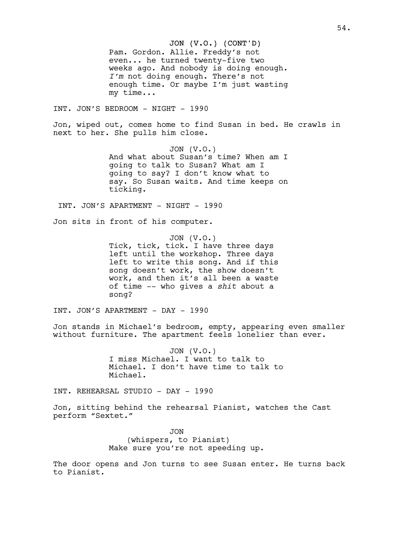JON (V.O.) (CONT'D) Pam. Gordon. Allie. Freddy's not even... he turned twenty-five two weeks ago. And nobody is doing enough. *I'm* not doing enough. There's not enough time. Or maybe I'm just wasting my time...

INT. JON'S BEDROOM - NIGHT - 1990

Jon, wiped out, comes home to find Susan in bed. He crawls in next to her. She pulls him close.

> JON (V.O.) And what about Susan's time? When am I going to talk to Susan? What am I going to say? I don't know what to say. So Susan waits. And time keeps on ticking.

INT. JON'S APARTMENT - NIGHT - 1990

Jon sits in front of his computer.

JON (V.O.) Tick, tick, tick. I have three days left until the workshop. Three days left to write this song. And if this song doesn't work, the show doesn't work, and then it's all been a waste of time -- who gives a *shit* about a song?

INT. JON'S APARTMENT - DAY - 1990

Jon stands in Michael's bedroom, empty, appearing even smaller without furniture. The apartment feels lonelier than ever.

> JON (V.O.) I miss Michael. I want to talk to Michael. I don't have time to talk to Michael.

INT. REHEARSAL STUDIO - DAY - 1990

Jon, sitting behind the rehearsal Pianist, watches the Cast perform "Sextet."

> JON (whispers, to Pianist) Make sure you're not speeding up.

The door opens and Jon turns to see Susan enter. He turns back to Pianist.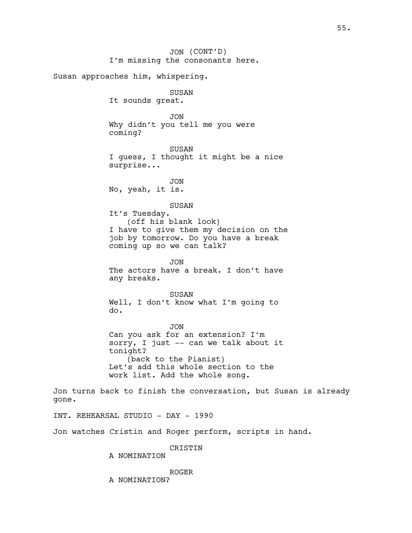JON (CONT'D) I'm missing the consonants here. Susan approaches him, whispering. SUSAN It sounds great. JON Why didn't you tell me you were coming? SUSAN I guess, I thought it might be a nice surprise... JON No, yeah, it is. SUSAN It's Tuesday. (off his blank look) I have to give them my decision on the job by tomorrow. Do you have a break coming up so we can talk? JON The actors have a break. I don't have any breaks. SUSAN Well, I don't know what I'm going to do. JON Can you ask for an extension? I'm sorry, I just -- can we talk about it tonight? (back to the Pianist) Let's add this whole section to the work list. Add the whole song. Jon turns back to finish the conversation, but Susan is already gone. INT. REHEARSAL STUDIO - DAY - 1990 Jon watches Cristin and Roger perform, scripts in hand. CRISTIN A NOMINATION

ROGER

A NOMINATION?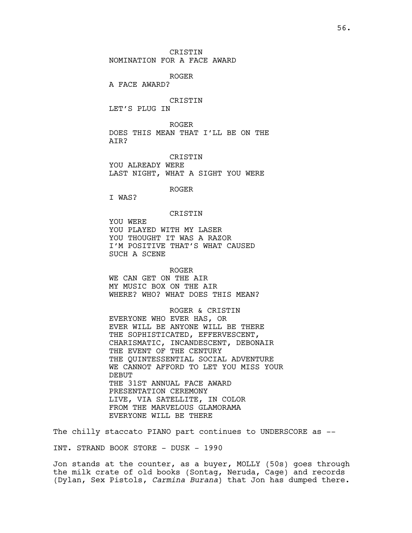**CRISTIN** 

NOMINATION FOR A FACE AWARD

ROGER

A FACE AWARD?

CRISTIN

LET'S PLUG IN

ROGER DOES THIS MEAN THAT I'LL BE ON THE AIR?

CRISTIN YOU ALREADY WERE LAST NIGHT, WHAT A SIGHT YOU WERE

ROGER

I WAS?

#### CRISTIN

YOU WERE YOU PLAYED WITH MY LASER YOU THOUGHT IT WAS A RAZOR I'M POSITIVE THAT'S WHAT CAUSED SUCH A SCENE

ROGER WE CAN GET ON THE AIR MY MUSIC BOX ON THE AIR WHERE? WHO? WHAT DOES THIS MEAN?

ROGER & CRISTIN EVERYONE WHO EVER HAS, OR EVER WILL BE ANYONE WILL BE THERE THE SOPHISTICATED, EFFERVESCENT, CHARISMATIC, INCANDESCENT, DEBONAIR THE EVENT OF THE CENTURY THE QUINTESSENTIAL SOCIAL ADVENTURE WE CANNOT AFFORD TO LET YOU MISS YOUR DEBUT THE 31ST ANNUAL FACE AWARD PRESENTATION CEREMONY LIVE, VIA SATELLITE, IN COLOR FROM THE MARVELOUS GLAMORAMA EVERYONE WILL BE THERE

The chilly staccato PIANO part continues to UNDERSCORE as --

INT. STRAND BOOK STORE - DUSK - 1990

Jon stands at the counter, as a buyer, MOLLY (50s) goes through the milk crate of old books (Sontag, Neruda, Cage) and records (Dylan, Sex Pistols, *Carmina Burana*) that Jon has dumped there.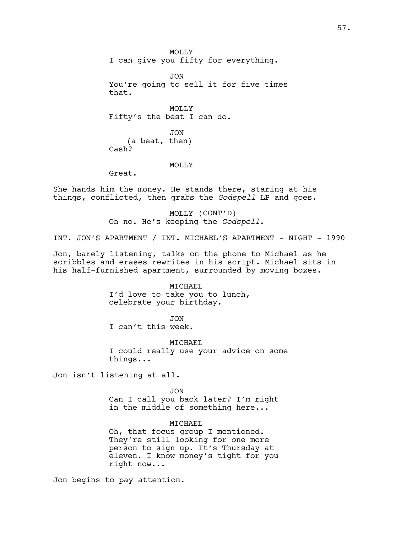**MOLLY** I can give you fifty for everything.

JON You're going to sell it for five times that.

MOLLY Fifty's the best I can do.

JON (a beat, then) Cash?

MOLLY

Great.

She hands him the money. He stands there, staring at his things, conflicted, then grabs the *Godspell* LP and goes.

> MOLLY (CONT'D) Oh no. He's keeping the *Godspell*.

INT. JON'S APARTMENT / INT. MICHAEL'S APARTMENT - NIGHT - 1990

Jon, barely listening, talks on the phone to Michael as he scribbles and erases rewrites in his script. Michael sits in his half-furnished apartment, surrounded by moving boxes.

> MICHAEL I'd love to take you to lunch, celebrate your birthday.

JON I can't this week.

MICHAEL I could really use your advice on some things...

Jon isn't listening at all.

JON Can I call you back later? I'm right in the middle of something here...

MICHAEL Oh, that focus group I mentioned. They're still looking for one more person to sign up. It's Thursday at eleven. I know money's tight for you right now...

Jon begins to pay attention.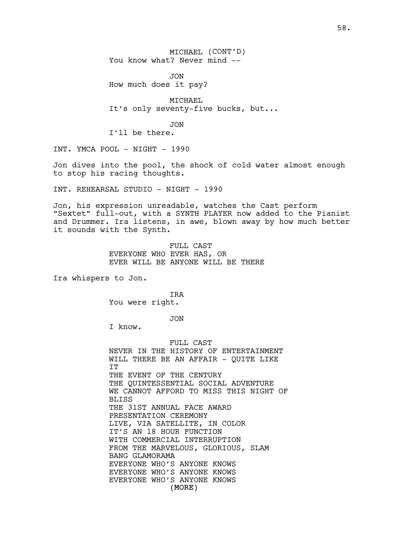MICHAEL (CONT'D) You know what? Never mind --

JON How much does it pay?

MICHAEL It's only seventy-five bucks, but...

JON

I'll be there.

INT. YMCA POOL - NIGHT - 1990

Jon dives into the pool, the shock of cold water almost enough to stop his racing thoughts.

INT. REHEARSAL STUDIO - NIGHT - 1990

Jon, his expression unreadable, watches the Cast perform "Sextet" full-out, with a SYNTH PLAYER now added to the Pianist and Drummer. Ira listens, in awe, blown away by how much better it sounds with the Synth.

> FULL CAST EVERYONE WHO EVER HAS, OR EVER WILL BE ANYONE WILL BE THERE

Ira whispers to Jon.

IRA You were right.

JON

I know.

(MORE) FULL CAST NEVER IN THE HISTORY OF ENTERTAINMENT WILL THERE BE AN AFFAIR – QUITE LIKE IT THE EVENT OF THE CENTURY THE QUINTESSENTIAL SOCIAL ADVENTURE WE CANNOT AFFORD TO MISS THIS NIGHT OF BLISS THE 31ST ANNUAL FACE AWARD PRESENTATION CEREMONY LIVE, VIA SATELLITE, IN COLOR IT'S AN 18 HOUR FUNCTION WITH COMMERCIAL INTERRUPTION FROM THE MARVELOUS, GLORIOUS, SLAM BANG GLAMORAMA EVERYONE WHO'S ANYONE KNOWS EVERYONE WHO'S ANYONE KNOWS EVERYONE WHO'S ANYONE KNOWS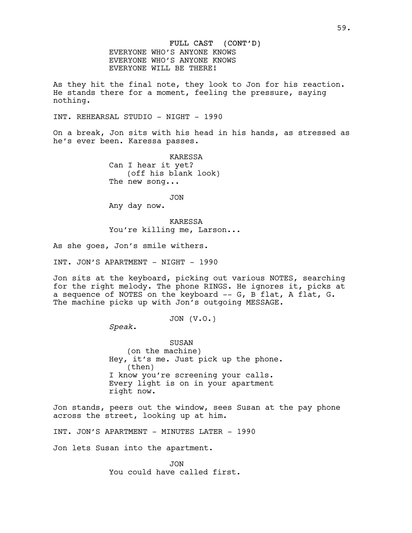FULL CAST (CONT'D) EVERYONE WHO'S ANYONE KNOWS EVERYONE WHO'S ANYONE KNOWS EVERYONE WILL BE THERE!

As they hit the final note, they look to Jon for his reaction. He stands there for a moment, feeling the pressure, saying nothing.

INT. REHEARSAL STUDIO - NIGHT - 1990

On a break, Jon sits with his head in his hands, as stressed as he's ever been. Karessa passes.

> KARESSA Can I hear it yet? (off his blank look) The new song...

> > JON

Any day now.

KARESSA You're killing me, Larson...

As she goes, Jon's smile withers.

INT. JON'S APARTMENT - NIGHT - 1990

Jon sits at the keyboard, picking out various NOTES, searching for the right melody. The phone RINGS. He ignores it, picks at a sequence of NOTES on the keyboard -- G, B flat, A flat, G. The machine picks up with Jon's outgoing MESSAGE.

JON (V.O.)

*Speak*.

SUSAN (on the machine) Hey, it's me. Just pick up the phone. (then) I know you're screening your calls. Every light is on in your apartment right now.

Jon stands, peers out the window, sees Susan at the pay phone across the street, looking up at him.

INT. JON'S APARTMENT - MINUTES LATER - 1990

Jon lets Susan into the apartment.

JON You could have called first.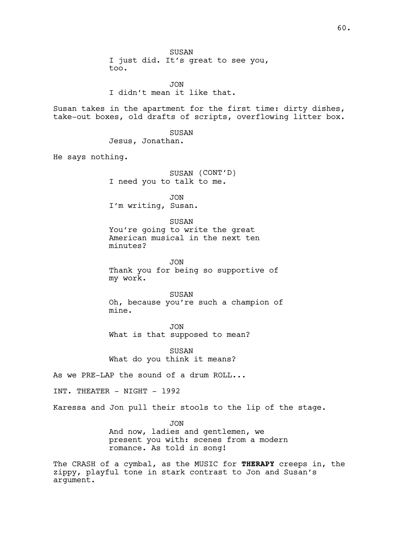SUSAN I just did. It's great to see you, too.

JON I didn't mean it like that.

Susan takes in the apartment for the first time: dirty dishes, take-out boxes, old drafts of scripts, overflowing litter box.

SUSAN

Jesus, Jonathan.

He says nothing.

SUSAN (CONT'D) I need you to talk to me.

JON I'm writing, Susan.

SUSAN You're going to write the great

American musical in the next ten minutes?

JON Thank you for being so supportive of my work.

SUSAN

Oh, because you're such a champion of mine.

JON What is that supposed to mean?

SUSAN What do you think it means?

As we PRE-LAP the sound of a drum ROLL...

INT. THEATER - NIGHT - 1992

Karessa and Jon pull their stools to the lip of the stage.

JON And now, ladies and gentlemen, we present you with: scenes from a modern romance. As told in song!

The CRASH of a cymbal, as the MUSIC for **THERAPY** creeps in, the zippy, playful tone in stark contrast to Jon and Susan's argument.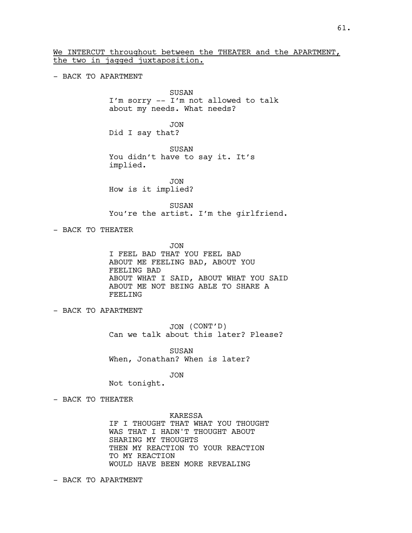We INTERCUT throughout between the THEATER and the APARTMENT, the two in jagged juxtaposition.

- BACK TO APARTMENT

SUSAN I'm sorry -- I'm not allowed to talk about my needs. What needs?

JON Did I say that?

SUSAN You didn't have to say it. It's implied.

JON How is it implied?

SUSAN You're the artist. I'm the girlfriend.

- BACK TO THEATER

JON I FEEL BAD THAT YOU FEEL BAD ABOUT ME FEELING BAD, ABOUT YOU FEELING BAD ABOUT WHAT I SAID, ABOUT WHAT YOU SAID ABOUT ME NOT BEING ABLE TO SHARE A FEELING

- BACK TO APARTMENT

JON (CONT'D) Can we talk about this later? Please?

SUSAN When, Jonathan? When is later?

JON

Not tonight.

- BACK TO THEATER

KARESSA IF I THOUGHT THAT WHAT YOU THOUGHT WAS THAT I HADN'T THOUGHT ABOUT SHARING MY THOUGHTS THEN MY REACTION TO YOUR REACTION TO MY REACTION WOULD HAVE BEEN MORE REVEALING

- BACK TO APARTMENT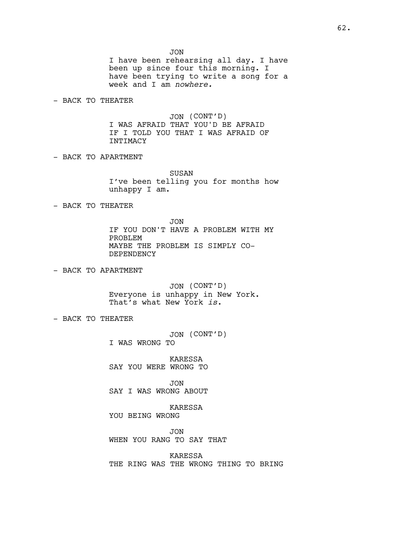JON

I have been rehearsing all day. I have been up since four this morning. I have been trying to write a song for a week and I am *nowhere.* 

- BACK TO THEATER

JON (CONT'D) I WAS AFRAID THAT YOU'D BE AFRAID IF I TOLD YOU THAT I WAS AFRAID OF INTIMACY

- BACK TO APARTMENT

SUSAN I've been telling you for months how unhappy I am.

- BACK TO THEATER

JON IF YOU DON'T HAVE A PROBLEM WITH MY PROBLEM MAYBE THE PROBLEM IS SIMPLY CO-DEPENDENCY

- BACK TO APARTMENT

JON (CONT'D) Everyone is unhappy in New York. That's what New York *is*.

- BACK TO THEATER

JON (CONT'D) I WAS WRONG TO

KARESSA SAY YOU WERE WRONG TO

JON SAY I WAS WRONG ABOUT

KARESSA

YOU BEING WRONG

JON WHEN YOU RANG TO SAY THAT

KARESSA THE RING WAS THE WRONG THING TO BRING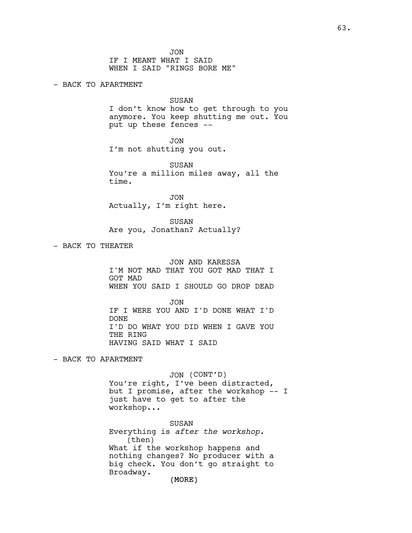IF I MEANT WHAT I SAID WHEN I SAID "RINGS BORE ME"

- BACK TO APARTMENT

SUSAN

I don't know how to get through to you anymore. You keep shutting me out. You put up these fences --

JON

I'm not shutting you out.

SUSAN You're a million miles away, all the time.

JON Actually, I'm right here.

SUSAN Are you, Jonathan? Actually?

- BACK TO THEATER

JON AND KARESSA I'M NOT MAD THAT YOU GOT MAD THAT I GOT MAD WHEN YOU SAID I SHOULD GO DROP DEAD

JON IF I WERE YOU AND I'D DONE WHAT I'D DONE I'D DO WHAT YOU DID WHEN I GAVE YOU THE RING HAVING SAID WHAT I SAID

- BACK TO APARTMENT

JON (CONT'D) You're right, I've been distracted, but I promise, after the workshop -- I just have to get to after the workshop...

SUSAN Everything is *after the workshop.*  (then) What if the workshop happens and nothing changes? No producer with a big check. You don't go straight to Broadway.

(MORE)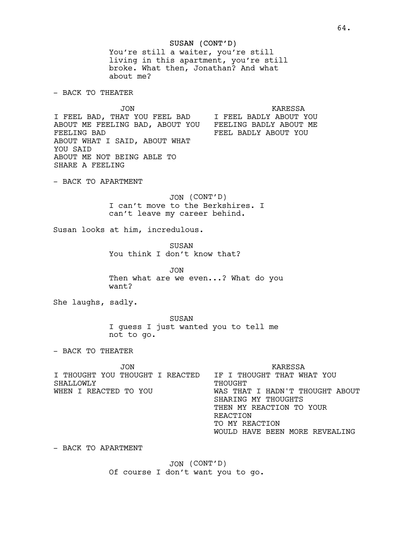## SUSAN (CONT'D)

You're still a waiter, you're still living in this apartment, you're still broke. What then, Jonathan? And what about me?

- BACK TO THEATER

JON I FEEL BAD, THAT YOU FEEL BAD I FEEL BADLY ABOUT YOU ABOUT ME FEELING BAD, ABOUT YOU FEELING BADLY ABOUT ME FEELING BAD ABOUT WHAT I SAID, ABOUT WHAT YOU SAID ABOUT ME NOT BEING ABLE TO SHARE A FEELING KARESSA FEEL BADLY ABOUT YOU

- BACK TO APARTMENT

JON (CONT'D) I can't move to the Berkshires. I can't leave my career behind.

Susan looks at him, incredulous.

SUSAN You think I don't know that?

JON Then what are we even...? What do you want?

She laughs, sadly.

SUSAN I guess I just wanted you to tell me not to go.

- BACK TO THEATER

| <b>JON</b>                      | KARESSA                         |
|---------------------------------|---------------------------------|
|                                 |                                 |
| T THOUGHT YOU THOUGHT I REACTED | IF I THOUGHT THAT WHAT YOU      |
| SHALLOWLY                       | THOUGHT                         |
| WHEN I REACTED TO YOU           | WAS THAT I HADN'T THOUGHT ABOUT |
|                                 | SHARING MY THOUGHTS             |
|                                 | THEN MY REACTION TO YOUR        |
|                                 | REACTION                        |
|                                 | TO MY REACTION                  |
|                                 | WOULD HAVE BEEN MORE REVEALING  |

- BACK TO APARTMENT

JON (CONT'D) Of course I don't want you to go.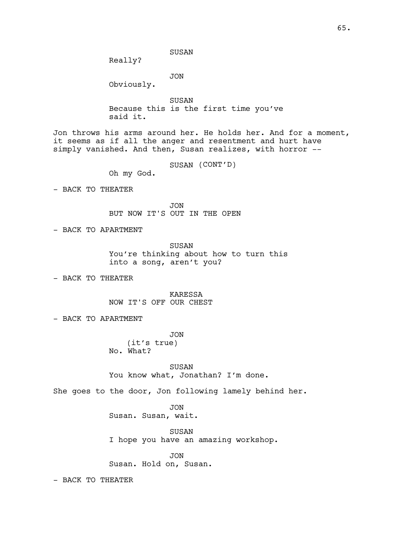SUSAN

Really?

JON

Obviously.

SUSAN Because this is the first time you've said it.

Jon throws his arms around her. He holds her. And for a moment, it seems as if all the anger and resentment and hurt have simply vanished. And then, Susan realizes, with horror --

SUSAN (CONT'D)

Oh my God.

- BACK TO THEATER

JON BUT NOW IT'S OUT IN THE OPEN

- BACK TO APARTMENT

SUSAN You're thinking about how to turn this into a song, aren't you?

- BACK TO THEATER

KARESSA NOW IT'S OFF OUR CHEST

- BACK TO APARTMENT

JON (it's true) No. What?

SUSAN You know what, Jonathan? I'm done.

She goes to the door, Jon following lamely behind her.

JON Susan. Susan, wait.

SUSAN I hope you have an amazing workshop.

JON Susan. Hold on, Susan.

- BACK TO THEATER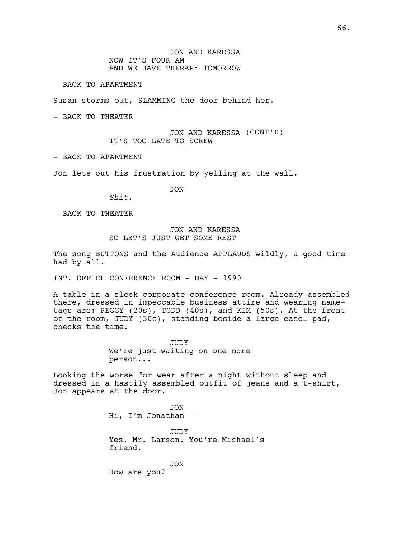JON AND KARESSA NOW IT'S FOUR AM AND WE HAVE THERAPY TOMORROW

- BACK TO APARTMENT

Susan storms out, SLAMMING the door behind her.

- BACK TO THEATER

JON AND KARESSA (CONT'D) IT'S TOO LATE TO SCREW

- BACK TO APARTMENT

*Shit.* 

Jon lets out his frustration by yelling at the wall.

JON

- BACK TO THEATER

# JON AND KARESSA SO LET'S JUST GET SOME REST

The song BUTTONS and the Audience APPLAUDS wildly, a good time had by all.

INT. OFFICE CONFERENCE ROOM - DAY - 1990

A table in a sleek corporate conference room. Already assembled there, dressed in impeccable business attire and wearing nametags are: PEGGY (20s), TODD (40s), and KIM (50s). At the front of the room, JUDY (30s), standing beside a large easel pad, checks the time.

> JUDY We're just waiting on one more person...

Looking the worse for wear after a night without sleep and dressed in a hastily assembled outfit of jeans and a t-shirt, Jon appears at the door.

> JON Hi, I'm Jonathan --

JUDY Yes. Mr. Larson. You're Michael's friend.

JON How are you?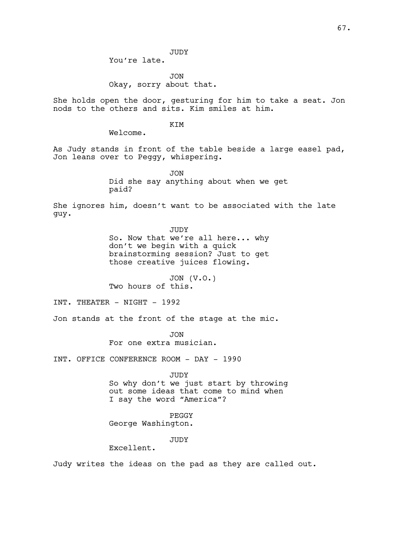JUDY

You're late.

JON Okay, sorry about that.

She holds open the door, gesturing for him to take a seat. Jon nods to the others and sits. Kim smiles at him.

**KTM** 

Welcome.

As Judy stands in front of the table beside a large easel pad, Jon leans over to Peggy, whispering.

> JON Did she say anything about when we get paid?

She ignores him, doesn't want to be associated with the late guy.

JUDY

So. Now that we're all here... why don't we begin with a quick brainstorming session? Just to get those creative juices flowing.

JON (V.O.) Two hours of this.

INT. THEATER - NIGHT - 1992

Jon stands at the front of the stage at the mic.

JON For one extra musician.

INT. OFFICE CONFERENCE ROOM - DAY - 1990

JUDY

So why don't we just start by throwing out some ideas that come to mind when I say the word "America"?

PEGGY George Washington.

JUDY

Excellent.

Judy writes the ideas on the pad as they are called out.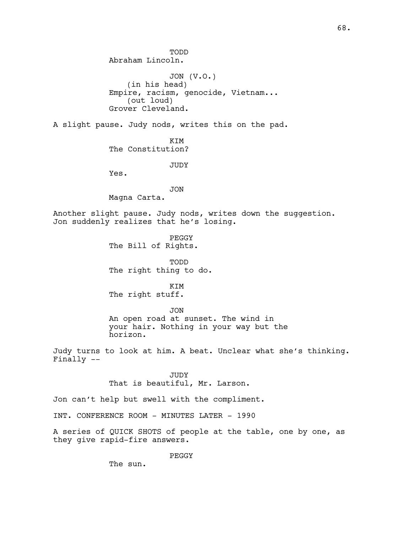68.

TODD Abraham Lincoln.

JON (V.O.) (in his head) Empire, racism, genocide, Vietnam... (out loud) Grover Cleveland.

A slight pause. Judy nods, writes this on the pad.

**KTM** The Constitution?

JUDY

Yes.

# JON

Magna Carta.

Another slight pause. Judy nods, writes down the suggestion. Jon suddenly realizes that he's losing.

> PEGGY The Bill of Rights.

TODD The right thing to do.

KIM The right stuff.

JON An open road at sunset. The wind in your hair. Nothing in your way but the horizon.

Judy turns to look at him. A beat. Unclear what she's thinking. Finally --

> JUDY That is beautiful, Mr. Larson.

Jon can't help but swell with the compliment.

INT. CONFERENCE ROOM - MINUTES LATER - 1990

A series of QUICK SHOTS of people at the table, one by one, as they give rapid-fire answers.

PEGGY

The sun.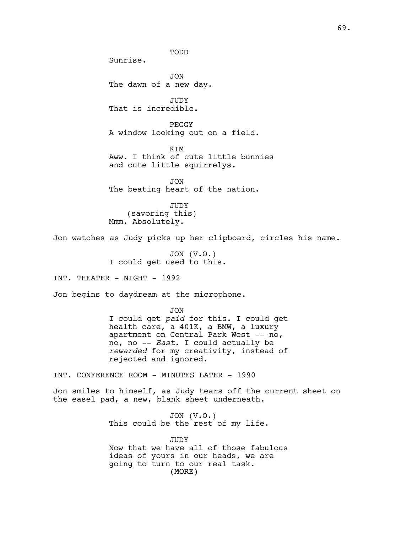69.

TODD Sunrise. JON The dawn of a new day. JUDY That is incredible. PEGGY A window looking out on a field. KIM Aww. I think of cute little bunnies and cute little squirrelys. JON The beating heart of the nation. JUDY (savoring this) Mmm. Absolutely. Jon watches as Judy picks up her clipboard, circles his name. JON (V.O.) I could get used to this. INT. THEATER - NIGHT - 1992 Jon begins to daydream at the microphone. JON I could get *paid* for this. I could get health care, a 401K, a BMW, a luxury apartment on Central Park West -- no, no, no -- *East*. I could actually be *rewarded* for my creativity, instead of rejected and ignored. INT. CONFERENCE ROOM - MINUTES LATER - 1990 Jon smiles to himself, as Judy tears off the current sheet on the easel pad, a new, blank sheet underneath. JON (V.O.) This could be the rest of my life. JUDY Now that we have all of those fabulous ideas of yours in our heads, we are going to turn to our real task.

(MORE)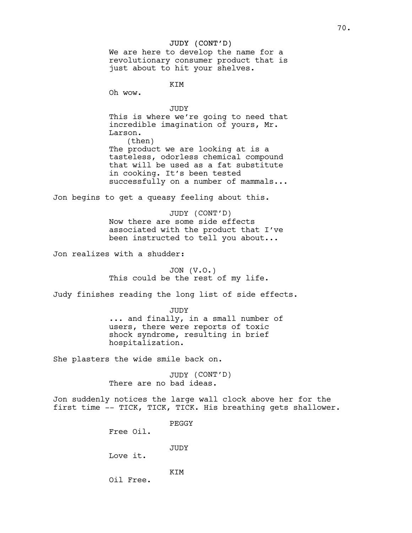## JUDY (CONT'D)

We are here to develop the name for a revolutionary consumer product that is just about to hit your shelves.

KIM

Oh wow.

JUDY This is where we're going to need that incredible imagination of yours, Mr. Larson. (then) The product we are looking at is a tasteless, odorless chemical compound that will be used as a fat substitute in cooking. It's been tested successfully on a number of mammals...

Jon begins to get a queasy feeling about this.

JUDY (CONT'D) Now there are some side effects associated with the product that I've been instructed to tell you about...

Jon realizes with a shudder:

JON (V.O.) This could be the rest of my life.

Judy finishes reading the long list of side effects.

JUDY ... and finally, in a small number of users, there were reports of toxic shock syndrome, resulting in brief hospitalization.

She plasters the wide smile back on.

JUDY (CONT'D) There are no bad ideas.

Jon suddenly notices the large wall clock above her for the first time -- TICK, TICK, TICK. His breathing gets shallower.

> PEGGY Free Oil.

> > JUDY

Love it.

KIM

Oil Free.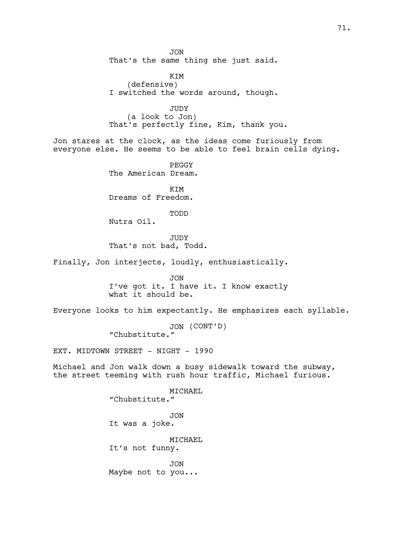JON That's the same thing she just said.

KIM (defensive) I switched the words around, though.

JUDY (a look to Jon) That's perfectly fine, Kim, thank you.

Jon stares at the clock, as the ideas come furiously from everyone else. He seems to be able to feel brain cells dying.

> PEGGY The American Dream.

KIM Dreams of Freedom.

TODD

Nutra Oil.

JUDY That's not bad, Todd.

Finally, Jon interjects, loudly, enthusiastically.

JON I've got it. I have it. I know exactly what it should be.

Everyone looks to him expectantly. He emphasizes each syllable.

JON (CONT'D) "Chubstitute."

EXT. MIDTOWN STREET - NIGHT - 1990

Michael and Jon walk down a busy sidewalk toward the subway, the street teeming with rush hour traffic, Michael furious.

> MICHAEL "Chubstitute." JON It was a joke. MICHAEL It's not funny. JON Maybe not to you...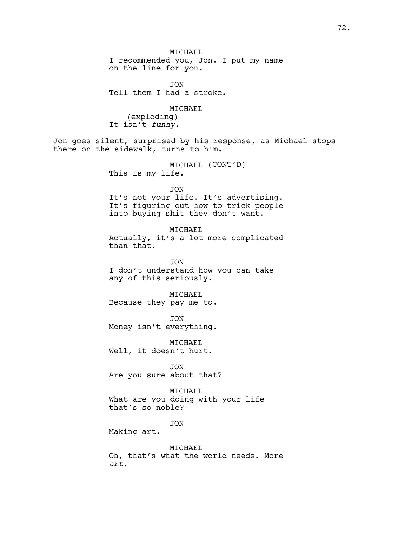MICHAEL I recommended you, Jon. I put my name on the line for you.

JON Tell them I had a stroke.

MICHAEL

(exploding) It isn't *funny*.

Jon goes silent, surprised by his response, as Michael stops there on the sidewalk, turns to him.

> MICHAEL (CONT'D) This is my life.

JON It's not your life. It's advertising. It's figuring out how to trick people into buying shit they don't want.

MICHAEL Actually, it's a lot more complicated than that.

JON I don't understand how you can take any of this seriously.

MICHAEL Because they pay me to.

JON Money isn't everything.

MICHAEL Well, it doesn't hurt.

JON Are you sure about that?

MICHAEL What are you doing with your life that's so noble?

JON

Making art.

MICHAEL Oh, that's what the world needs. More *art*.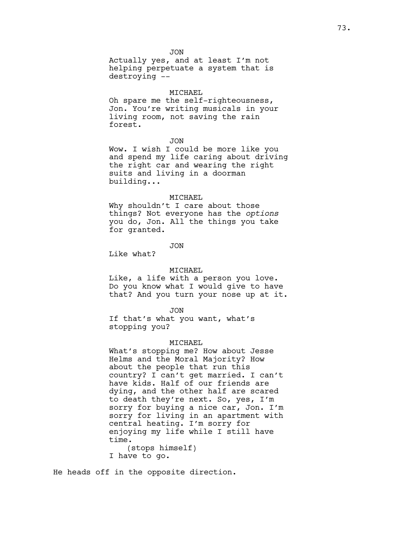JON Actually yes, and at least I'm not helping perpetuate a system that is destroying --

### MICHAEL

Oh spare me the self-righteousness, Jon. You're writing musicals in your living room, not saving the rain forest.

JON

Wow. I wish I could be more like you and spend my life caring about driving the right car and wearing the right suits and living in a doorman building...

## MICHAEL

Why shouldn't I care about those things? Not everyone has the *options* you do, Jon. All the things you take for granted.

# JON

Like what?

#### MICHAEL

Like, a life with a person you love. Do you know what I would give to have that? And you turn your nose up at it.

JON

If that's what you want, what's stopping you?

#### MICHAEL

What's stopping me? How about Jesse Helms and the Moral Majority? How about the people that run this country? I can't get married. I can't have kids. Half of our friends are dying, and the other half are scared to death they're next. So, yes, I'm sorry for buying a nice car, Jon. I'm sorry for living in an apartment with central heating. I'm sorry for enjoying my life while I still have time. (stops himself) I have to go.

He heads off in the opposite direction.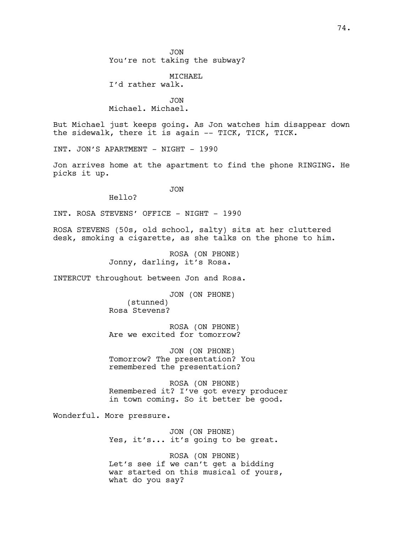JON You're not taking the subway?

MICHAEL

I'd rather walk.

JON Michael. Michael.

But Michael just keeps going. As Jon watches him disappear down the sidewalk, there it is again -- TICK, TICK, TICK.

INT. JON'S APARTMENT - NIGHT - 1990

Jon arrives home at the apartment to find the phone RINGING. He picks it up.

JON

Hello?

INT. ROSA STEVENS' OFFICE - NIGHT - 1990

ROSA STEVENS (50s, old school, salty) sits at her cluttered desk, smoking a cigarette, as she talks on the phone to him.

> ROSA (ON PHONE) Jonny, darling, it's Rosa.

INTERCUT throughout between Jon and Rosa.

JON (ON PHONE) (stunned) Rosa Stevens?

ROSA (ON PHONE) Are we excited for tomorrow?

JON (ON PHONE) Tomorrow? The presentation? You remembered the presentation?

ROSA (ON PHONE) Remembered it? I've got every producer in town coming. So it better be good.

Wonderful. More pressure.

JON (ON PHONE) Yes, it's... it's going to be great.

ROSA (ON PHONE) Let's see if we can't get a bidding war started on this musical of yours, what do you say?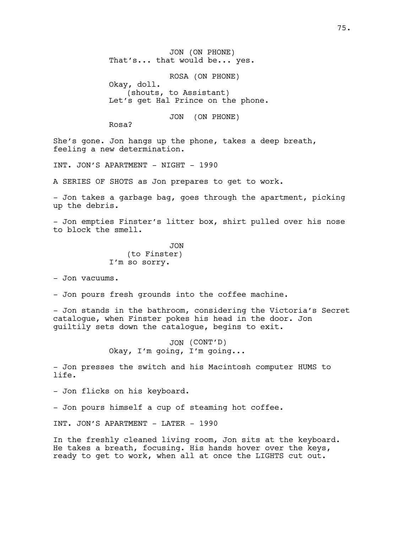JON (ON PHONE) That's... that would be... yes.

ROSA (ON PHONE) Okay, doll. (shouts, to Assistant) Let's get Hal Prince on the phone.

JON (ON PHONE)

Rosa?

She's gone. Jon hangs up the phone, takes a deep breath, feeling a new determination.

INT. JON'S APARTMENT - NIGHT - 1990

A SERIES OF SHOTS as Jon prepares to get to work.

- Jon takes a garbage bag, goes through the apartment, picking up the debris.

- Jon empties Finster's litter box, shirt pulled over his nose to block the smell.

> JON (to Finster) I'm so sorry.

- Jon vacuums.

- Jon pours fresh grounds into the coffee machine.

- Jon stands in the bathroom, considering the Victoria's Secret catalogue, when Finster pokes his head in the door. Jon guiltily sets down the catalogue, begins to exit.

> JON (CONT'D) Okay, I'm going, I'm going...

- Jon presses the switch and his Macintosh computer HUMS to life.

- Jon flicks on his keyboard.

- Jon pours himself a cup of steaming hot coffee.

INT. JON'S APARTMENT - LATER - 1990

In the freshly cleaned living room, Jon sits at the keyboard. He takes a breath, focusing. His hands hover over the keys, ready to get to work, when all at once the LIGHTS cut out.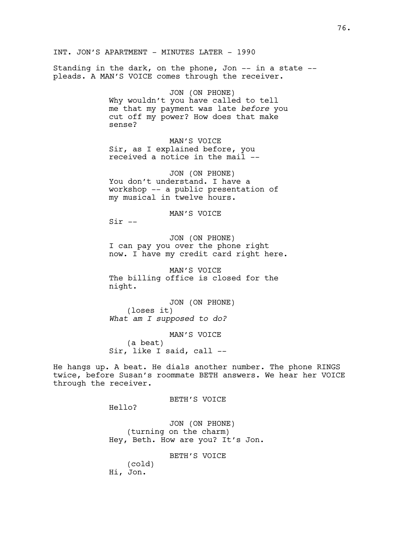Standing in the dark, on the phone, Jon -- in a state - pleads. A MAN'S VOICE comes through the receiver.

> JON (ON PHONE) Why wouldn't you have called to tell me that my payment was late *before* you cut off my power? How does that make sense?

MAN'S VOICE Sir, as I explained before, you received a notice in the mail --

JON (ON PHONE) You don't understand. I have a workshop -- a public presentation of my musical in twelve hours.

MAN'S VOICE

Sir --

JON (ON PHONE) I can pay you over the phone right now. I have my credit card right here.

MAN'S VOICE The billing office is closed for the night.

JON (ON PHONE) (loses it) *What am I supposed to do?* 

MAN'S VOICE (a beat) Sir, like I said, call --

He hangs up. A beat. He dials another number. The phone RINGS twice, before Susan's roommate BETH answers. We hear her VOICE through the receiver.

# BETH'S VOICE

Hello?

JON (ON PHONE) (turning on the charm) Hey, Beth. How are you? It's Jon.

BETH'S VOICE

(cold) Hi, Jon.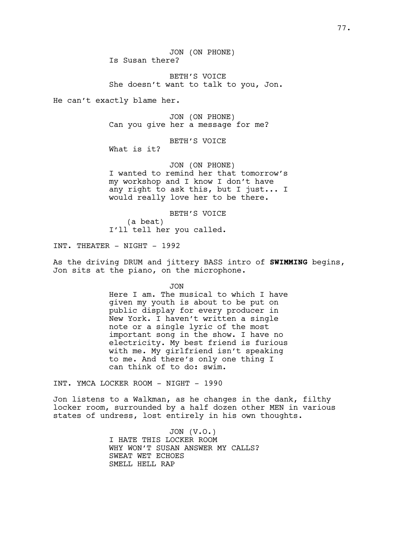BETH'S VOICE She doesn't want to talk to you, Jon.

He can't exactly blame her.

JON (ON PHONE) Can you give her a message for me?

BETH'S VOICE

What is it?

JON (ON PHONE) I wanted to remind her that tomorrow's my workshop and I know I don't have any right to ask this, but I just... I would really love her to be there.

> BETH'S VOICE (a beat)

I'll tell her you called.

INT. THEATER - NIGHT - 1992

As the driving DRUM and jittery BASS intro of **SWIMMING** begins, Jon sits at the piano, on the microphone.

JON

Here I am. The musical to which I have given my youth is about to be put on public display for every producer in New York. I haven't written a single note or a single lyric of the most important song in the show. I have no electricity. My best friend is furious with me. My girlfriend isn't speaking to me. And there's only one thing I can think of to do: swim.

INT. YMCA LOCKER ROOM - NIGHT - 1990

Jon listens to a Walkman, as he changes in the dank, filthy locker room, surrounded by a half dozen other MEN in various states of undress, lost entirely in his own thoughts.

> JON (V.O.) I HATE THIS LOCKER ROOM WHY WON'T SUSAN ANSWER MY CALLS? SWEAT WET ECHOES SMELL HELL RAP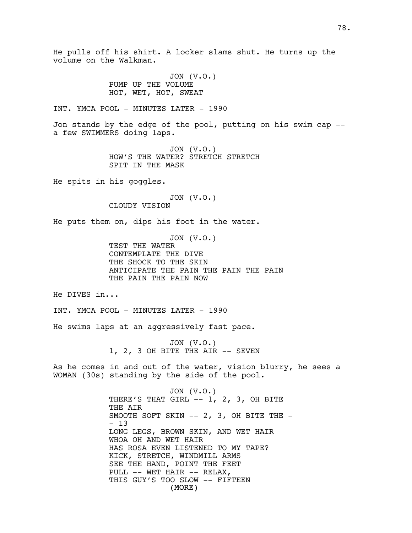He pulls off his shirt. A locker slams shut. He turns up the volume on the Walkman.

> JON (V.O.) PUMP UP THE VOLUME HOT, WET, HOT, SWEAT

INT. YMCA POOL - MINUTES LATER - 1990

Jon stands by the edge of the pool, putting on his swim cap - a few SWIMMERS doing laps.

> JON (V.O.) HOW'S THE WATER? STRETCH STRETCH SPIT IN THE MASK

He spits in his goggles.

JON (V.O.)

CLOUDY VISION

He puts them on, dips his foot in the water.

JON (V.O.) TEST THE WATER CONTEMPLATE THE DIVE THE SHOCK TO THE SKIN ANTICIPATE THE PAIN THE PAIN THE PAIN THE PAIN THE PAIN NOW

He DIVES in...

INT. YMCA POOL - MINUTES LATER - 1990

He swims laps at an aggressively fast pace.

JON (V.O.) 1, 2, 3 OH BITE THE AIR –- SEVEN

As he comes in and out of the water, vision blurry, he sees a WOMAN (30s) standing by the side of the pool.

> (MORE) JON (V.O.) THERE'S THAT GIRL –- 1, 2, 3, OH BITE THE AIR SMOOTH SOFT SKIN –- 2, 3, OH BITE THE - - 13 LONG LEGS, BROWN SKIN, AND WET HAIR WHOA OH AND WET HAIR HAS ROSA EVEN LISTENED TO MY TAPE? KICK, STRETCH, WINDMILL ARMS SEE THE HAND, POINT THE FEET PULL –- WET HAIR -– RELAX, THIS GUY'S TOO SLOW –- FIFTEEN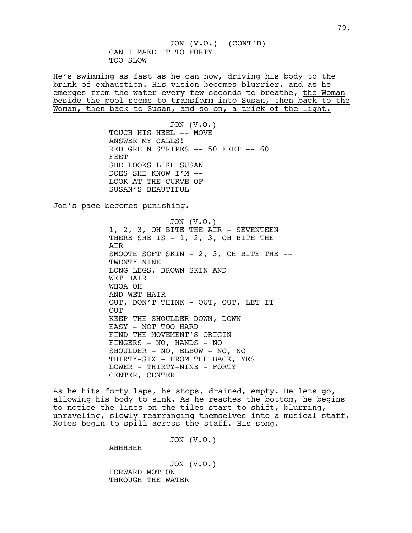JON (V.O.) (CONT'D) CAN I MAKE IT TO FORTY TOO SLOW

He's swimming as fast as he can now, driving his body to the brink of exhaustion. His vision becomes blurrier, and as he emerges from the water every few seconds to breathe, the Woman beside the pool seems to transform into Susan, then back to the Woman, then back to Susan, and so on, a trick of the light.

> JON (V.O.) TOUCH HIS HEEL –- MOVE ANSWER MY CALLS! RED GREEN STRIPES –- 50 FEET –- 60 FEET SHE LOOKS LIKE SUSAN DOES SHE KNOW I'M –- LOOK AT THE CURVE OF -– SUSAN'S BEAUTIFUL

Jon's pace becomes punishing.

JON (V.O.) 1, 2, 3, OH BITE THE AIR – SEVENTEEN THERE SHE IS – 1, 2, 3, OH BITE THE AIR SMOOTH SOFT SKIN – 2, 3, OH BITE THE -- TWENTY NINE LONG LEGS, BROWN SKIN AND WET HAIR WHOA OH AND WET HAIR OUT, DON'T THINK – OUT, OUT, LET IT OUT KEEP THE SHOULDER DOWN, DOWN EASY – NOT TOO HARD FIND THE MOVEMENT'S ORIGIN FINGERS – NO, HANDS – NO SHOULDER – NO, ELBOW – NO, NO THIRTY-SIX – FROM THE BACK, YES LOWER – THIRTY-NINE – FORTY CENTER, CENTER

As he hits forty laps, he stops, drained, empty. He lets go, allowing his body to sink. As he reaches the bottom, he begins to notice the lines on the tiles start to shift, blurring, unraveling, slowly rearranging themselves into a musical staff. Notes begin to spill across the staff. His song.

JON (V.O.)

AHHHHHH

JON (V.O.) FORWARD MOTION THROUGH THE WATER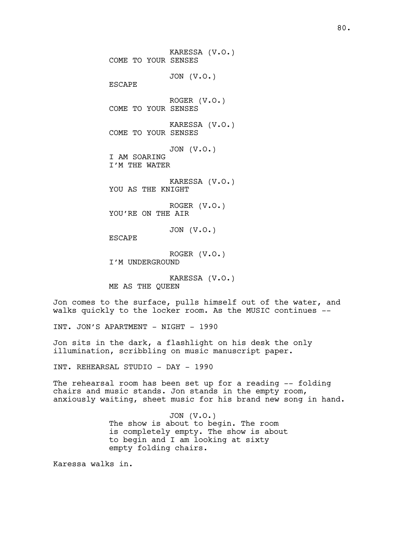KARESSA (V.O.) COME TO YOUR SENSES JON (V.O.) ESCAPE ROGER (V.O.) COME TO YOUR SENSES KARESSA (V.O.) COME TO YOUR SENSES JON (V.O.) I AM SOARING I'M THE WATER KARESSA (V.O.) YOU AS THE KNIGHT ROGER (V.O.) YOU'RE ON THE AIR JON (V.O.) ESCAPE ROGER (V.O.) I'M UNDERGROUND KARESSA (V.O.)

ME AS THE QUEEN

Jon comes to the surface, pulls himself out of the water, and walks quickly to the locker room. As the MUSIC continues --

INT. JON'S APARTMENT - NIGHT - 1990

Jon sits in the dark, a flashlight on his desk the only illumination, scribbling on music manuscript paper.

INT. REHEARSAL STUDIO - DAY - 1990

The rehearsal room has been set up for a reading -- folding chairs and music stands. Jon stands in the empty room, anxiously waiting, sheet music for his brand new song in hand.

> JON (V.O.) The show is about to begin. The room is completely empty. The show is about to begin and I am looking at sixty empty folding chairs.

Karessa walks in.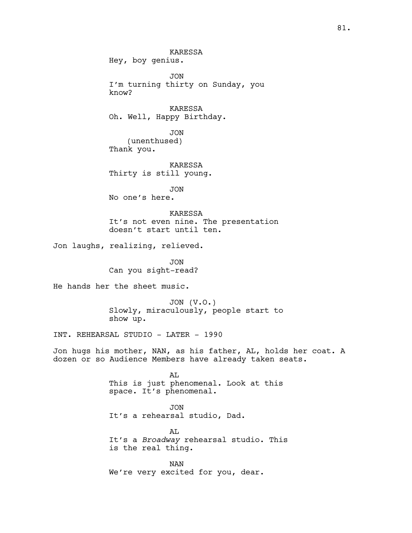KARESSA Hey, boy genius. JON I'm turning thirty on Sunday, you know? KARESSA Oh. Well, Happy Birthday. JON (unenthused) Thank you. KARESSA Thirty is still young. JON No one's here. KARESSA It's not even nine. The presentation doesn't start until ten. Jon laughs, realizing, relieved. JON Can you sight-read? He hands her the sheet music. JON (V.O.) Slowly, miraculously, people start to show up. INT. REHEARSAL STUDIO - LATER - 1990 Jon hugs his mother, NAN, as his father, AL, holds her coat. A dozen or so Audience Members have already taken seats. AL This is just phenomenal. Look at this space. It's phenomenal. JON It's a rehearsal studio, Dad. AL It's a *Broadway* rehearsal studio. This is the real thing. NAN We're very excited for you, dear.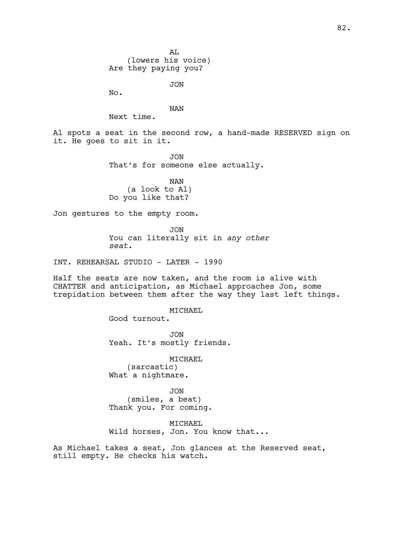AL (lowers his voice) Are they paying you?

JON

No.

NAN

Next time.

Al spots a seat in the second row, a hand-made RESERVED sign on it. He goes to sit in it.

> JON That's for someone else actually.

NAN (a look to Al) Do you like that?

Jon gestures to the empty room.

JON You can literally sit in *any other seat.* 

INT. REHEARSAL STUDIO - LATER - 1990

Half the seats are now taken, and the room is alive with CHATTER and anticipation, as Michael approaches Jon, some trepidation between them after the way they last left things.

MICHAEL

Good turnout.

JON Yeah. It's mostly friends.

MICHAEL

(sarcastic) What a nightmare.

JON (smiles, a beat) Thank you. For coming.

MICHAEL Wild horses, Jon. You know that...

As Michael takes a seat, Jon glances at the Reserved seat, still empty. He checks his watch.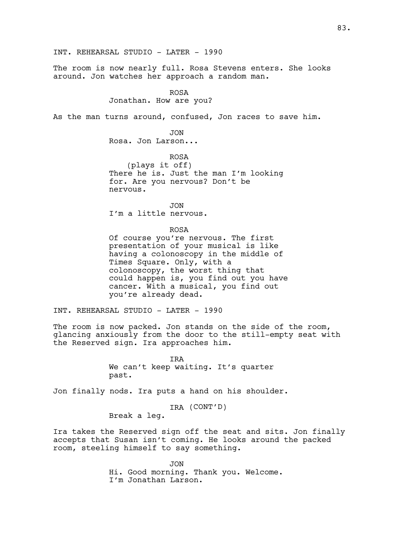INT. REHEARSAL STUDIO - LATER - 1990

The room is now nearly full. Rosa Stevens enters. She looks around. Jon watches her approach a random man.

ROSA

# Jonathan. How are you?

As the man turns around, confused, Jon races to save him.

JON Rosa. Jon Larson...

ROSA

(plays it off) There he is. Just the man I'm looking for. Are you nervous? Don't be nervous.

JON I'm a little nervous.

ROSA

Of course you're nervous. The first presentation of your musical is like having a colonoscopy in the middle of Times Square. Only, with a colonoscopy, the worst thing that could happen is, you find out you have cancer. With a musical, you find out you're already dead.

INT. REHEARSAL STUDIO - LATER - 1990

The room is now packed. Jon stands on the side of the room, glancing anxiously from the door to the still-empty seat with the Reserved sign. Ira approaches him.

> IRA We can't keep waiting. It's quarter past.

Jon finally nods. Ira puts a hand on his shoulder.

IRA (CONT'D)

Break a leg.

Ira takes the Reserved sign off the seat and sits. Jon finally accepts that Susan isn't coming. He looks around the packed room, steeling himself to say something.

> JON Hi. Good morning. Thank you. Welcome. I'm Jonathan Larson.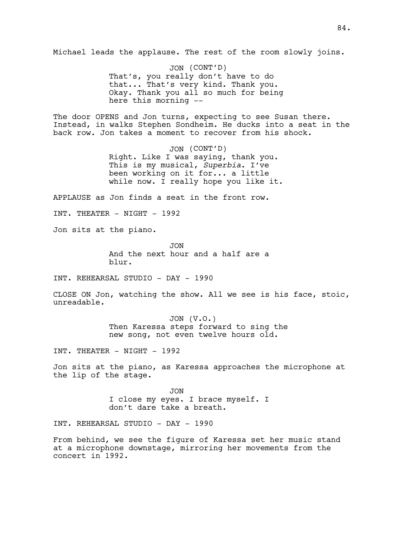Michael leads the applause. The rest of the room slowly joins.

JON (CONT'D) That's, you really don't have to do that... That's very kind. Thank you. Okay. Thank you all so much for being here this morning --

The door OPENS and Jon turns, expecting to see Susan there. Instead, in walks Stephen Sondheim. He ducks into a seat in the back row. Jon takes a moment to recover from his shock.

> JON (CONT'D) Right. Like I was saying, thank you. This is my musical, *Superbia*. I've been working on it for... a little while now. I really hope you like it.

APPLAUSE as Jon finds a seat in the front row.

INT. THEATER - NIGHT - 1992

Jon sits at the piano.

JON And the next hour and a half are a blur.

INT. REHEARSAL STUDIO - DAY - 1990

CLOSE ON Jon, watching the show. All we see is his face, stoic, unreadable.

> JON (V.O.) Then Karessa steps forward to sing the new song, not even twelve hours old.

INT. THEATER - NIGHT - 1992

Jon sits at the piano, as Karessa approaches the microphone at the lip of the stage.

> JON I close my eyes. I brace myself. I don't dare take a breath.

INT. REHEARSAL STUDIO - DAY - 1990

From behind, we see the figure of Karessa set her music stand at a microphone downstage, mirroring her movements from the concert in 1992.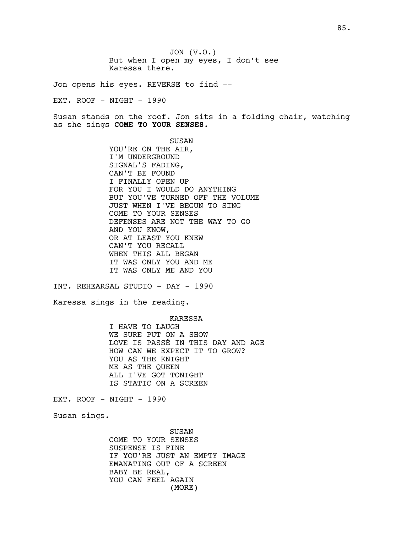JON (V.O.) But when I open my eyes, I don't see Karessa there.

Jon opens his eyes. REVERSE to find --

EXT. ROOF - NIGHT - 1990

Susan stands on the roof. Jon sits in a folding chair, watching as she sings **COME TO YOUR SENSES.** 

> SUSAN YOU'RE ON THE AIR, I'M UNDERGROUND SIGNAL'S FADING, CAN'T BE FOUND I FINALLY OPEN UP FOR YOU I WOULD DO ANYTHING BUT YOU'VE TURNED OFF THE VOLUME JUST WHEN I'VE BEGUN TO SING COME TO YOUR SENSES DEFENSES ARE NOT THE WAY TO GO AND YOU KNOW, OR AT LEAST YOU KNEW CAN'T YOU RECALL WHEN THIS ALL BEGAN IT WAS ONLY YOU AND ME IT WAS ONLY ME AND YOU

INT. REHEARSAL STUDIO - DAY - 1990

Karessa sings in the reading.

KARESSA I HAVE TO LAUGH WE SURE PUT ON A SHOW LOVE IS PASSÉ IN THIS DAY AND AGE HOW CAN WE EXPECT IT TO GROW? YOU AS THE KNIGHT ME AS THE QUEEN ALL I'VE GOT TONIGHT IS STATIC ON A SCREEN

EXT. ROOF - NIGHT - 1990

Susan sings.

(MORE) SUSAN COME TO YOUR SENSES SUSPENSE IS FINE IF YOU'RE JUST AN EMPTY IMAGE EMANATING OUT OF A SCREEN BABY BE REAL, YOU CAN FEEL AGAIN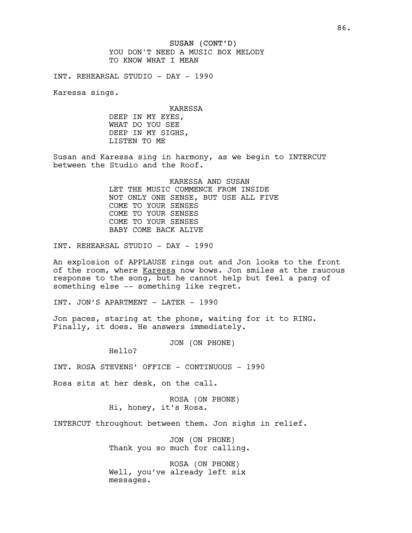SUSAN (CONT'D) YOU DON'T NEED A MUSIC BOX MELODY TO KNOW WHAT I MEAN

INT. REHEARSAL STUDIO - DAY - 1990

Karessa sings.

KARESSA

DEEP IN MY EYES, WHAT DO YOU SEE DEEP IN MY SIGHS, LISTEN TO ME

Susan and Karessa sing in harmony, as we begin to INTERCUT between the Studio and the Roof.

> KARESSA AND SUSAN LET THE MUSIC COMMENCE FROM INSIDE NOT ONLY ONE SENSE, BUT USE ALL FIVE COME TO YOUR SENSES COME TO YOUR SENSES COME TO YOUR SENSES BABY COME BACK ALIVE

INT. REHEARSAL STUDIO - DAY - 1990

An explosion of APPLAUSE rings out and Jon looks to the front of the room, where Karessa now bows. Jon smiles at the raucous response to the song, but he cannot help but feel a pang of something else -- something like regret.

INT. JON'S APARTMENT - LATER - 1990

Jon paces, staring at the phone, waiting for it to RING. Finally, it does. He answers immediately.

JON (ON PHONE)

Hello?

INT. ROSA STEVENS' OFFICE - CONTINUOUS - 1990

Rosa sits at her desk, on the call.

ROSA (ON PHONE) Hi, honey, it's Rosa.

INTERCUT throughout between them. Jon sighs in relief.

JON (ON PHONE) Thank you so much for calling.

ROSA (ON PHONE) Well, you've already left six messages.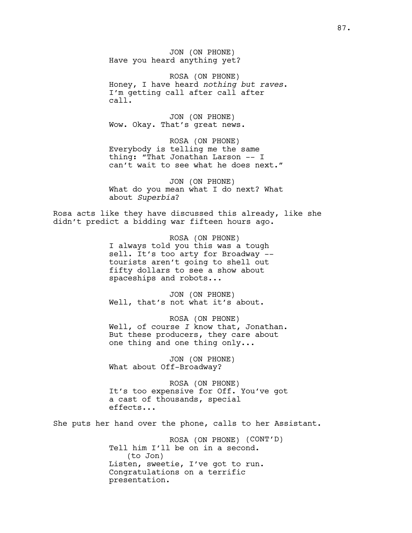JON (ON PHONE) Have you heard anything yet?

ROSA (ON PHONE) Honey, I have heard *nothing but raves*. I'm getting call after call after call.

JON (ON PHONE) Wow. Okay. That's great news.

ROSA (ON PHONE) Everybody is telling me the same thing: "That Jonathan Larson -- I can't wait to see what he does next."

JON (ON PHONE) What do you mean what I do next? What about *Superbia*?

Rosa acts like they have discussed this already, like she didn't predict a bidding war fifteen hours ago.

> ROSA (ON PHONE) I always told you this was a tough sell. It's too arty for Broadway - tourists aren't going to shell out fifty dollars to see a show about spaceships and robots...

JON (ON PHONE) Well, that's not what it's about.

ROSA (ON PHONE) Well, of course *I* know that, Jonathan. But these producers, they care about one thing and one thing only...

JON (ON PHONE) What about Off-Broadway?

ROSA (ON PHONE) It's too expensive for Off. You've got a cast of thousands, special effects...

She puts her hand over the phone, calls to her Assistant.

ROSA (ON PHONE) (CONT'D) Tell him I'll be on in a second. (to Jon) Listen, sweetie, I've got to run. Congratulations on a terrific presentation.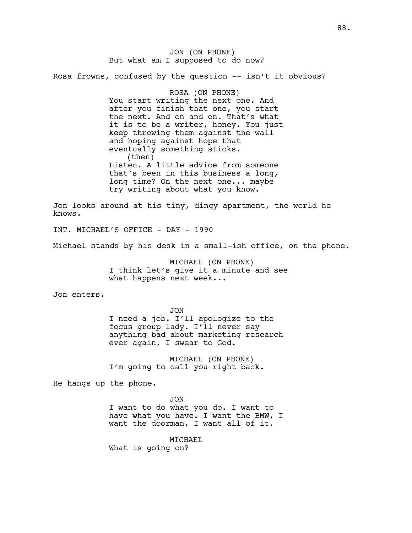JON (ON PHONE) But what am I supposed to do now?

Rosa frowns, confused by the question -- isn't it obvious?

ROSA (ON PHONE) You start writing the next one. And after you finish that one, you start the next. And on and on. That's what it is to be a writer, honey. You just keep throwing them against the wall and hoping against hope that eventually something sticks. (then) Listen. A little advice from someone that's been in this business a long, long time? On the next one... maybe try writing about what you know.

Jon looks around at his tiny, dingy apartment, the world he knows.

INT. MICHAEL'S OFFICE - DAY - 1990

Michael stands by his desk in a small-ish office, on the phone.

MICHAEL (ON PHONE) I think let's give it a minute and see what happens next week...

Jon enters.

JON I need a job. I'll apologize to the focus group lady. I'll never say anything bad about marketing research ever again, I swear to God.

MICHAEL (ON PHONE) I'm going to call you right back.

He hangs up the phone.

JON I want to do what you do. I want to have what you have. I want the BMW, I want the doorman, I want all of it.

MICHAEL What is going on?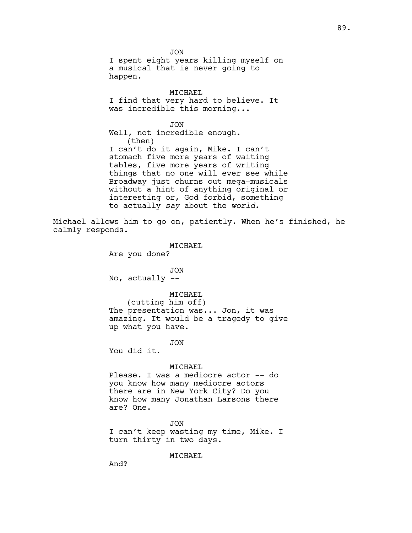MICHAEL I find that very hard to believe. It was incredible this morning...

JON Well, not incredible enough. (then) I can't do it again, Mike. I can't stomach five more years of waiting tables, five more years of writing things that no one will ever see while Broadway just churns out mega-musicals without a hint of anything original or interesting or, God forbid, something to actually *say* about the *world*.

Michael allows him to go on, patiently. When he's finished, he calmly responds.

> MICHAEL Are you done?

JON

No, actually --

MICHAEL

(cutting him off) The presentation was... Jon, it was amazing. It would be a tragedy to give up what you have.

JON

You did it.

MICHAEL

Please. I was a mediocre actor -- do you know how many mediocre actors there are in New York City? Do you know how many Jonathan Larsons there are? One.

JON I can't keep wasting my time, Mike. I turn thirty in two days.

MICHAEL

And?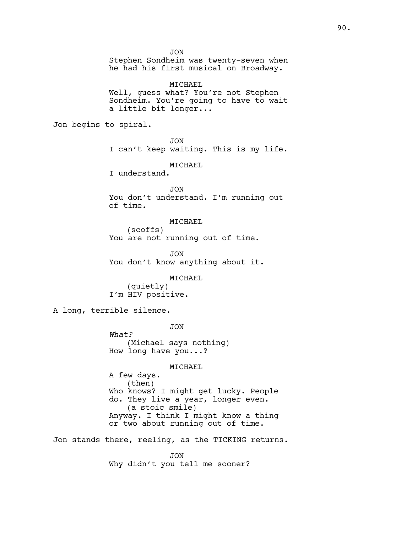JON Stephen Sondheim was twenty-seven when he had his first musical on Broadway.

MICHAEL Well, guess what? You're not Stephen Sondheim. You're going to have to wait a little bit longer...

Jon begins to spiral.

JON I can't keep waiting. This is my life.

MICHAEL

I understand.

JON You don't understand. I'm running out of time.

MICHAEL (scoffs) You are not running out of time.

JON You don't know anything about it.

MICHAEL (quietly) I'm HIV positive.

A long, terrible silence.

JON *What?* (Michael says nothing) How long have you...?

MICHAEL

A few days. (then) Who knows? I might get lucky. People do. They live a year, longer even. (a stoic smile) Anyway. I think I might know a thing or two about running out of time.

Jon stands there, reeling, as the TICKING returns.

JON Why didn't you tell me sooner?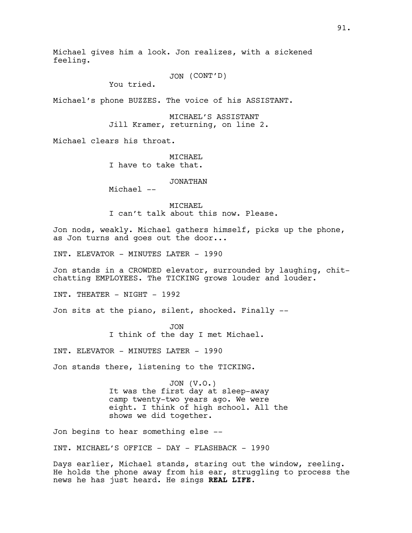Michael gives him a look. Jon realizes, with a sickened feeling.

JON (CONT'D)

You tried.

Michael's phone BUZZES. The voice of his ASSISTANT.

MICHAEL'S ASSISTANT Jill Kramer, returning, on line 2.

Michael clears his throat.

MTCHAEL I have to take that.

JONATHAN

Michael --

MICHAEL I can't talk about this now. Please.

Jon nods, weakly. Michael gathers himself, picks up the phone, as Jon turns and goes out the door...

INT. ELEVATOR - MINUTES LATER - 1990

Jon stands in a CROWDED elevator, surrounded by laughing, chitchatting EMPLOYEES. The TICKING grows louder and louder.

INT. THEATER - NIGHT - 1992

Jon sits at the piano, silent, shocked. Finally --

JON I think of the day I met Michael.

INT. ELEVATOR - MINUTES LATER - 1990

Jon stands there, listening to the TICKING.

JON (V.O.) It was the first day at sleep-away camp twenty-two years ago. We were eight. I think of high school. All the shows we did together.

Jon begins to hear something else --

INT. MICHAEL'S OFFICE - DAY - FLASHBACK - 1990

Days earlier, Michael stands, staring out the window, reeling. He holds the phone away from his ear, struggling to process the news he has just heard. He sings **REAL LIFE**.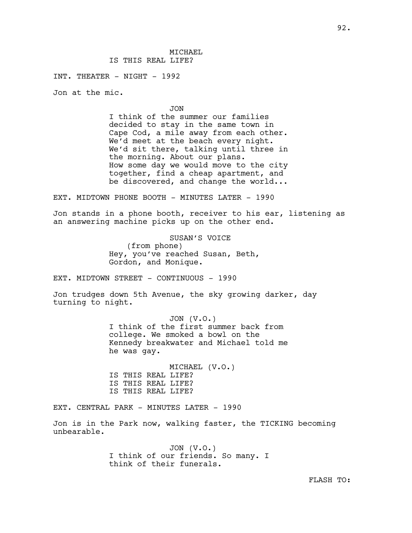INT. THEATER - NIGHT - 1992

Jon at the mic.

JON

I think of the summer our families decided to stay in the same town in Cape Cod, a mile away from each other. We'd meet at the beach every night. We'd sit there, talking until three in the morning. About our plans. How some day we would move to the city together, find a cheap apartment, and be discovered, and change the world...

EXT. MIDTOWN PHONE BOOTH - MINUTES LATER - 1990

Jon stands in a phone booth, receiver to his ear, listening as an answering machine picks up on the other end.

> SUSAN'S VOICE (from phone) Hey, you've reached Susan, Beth, Gordon, and Monique.

EXT. MIDTOWN STREET - CONTINUOUS - 1990

Jon trudges down 5th Avenue, the sky growing darker, day turning to night.

> JON (V.O.) I think of the first summer back from college. We smoked a bowl on the Kennedy breakwater and Michael told me he was gay.

MICHAEL (V.O.) IS THIS REAL LIFE? IS THIS REAL LIFE? IS THIS REAL LIFE?

EXT. CENTRAL PARK - MINUTES LATER - 1990

Jon is in the Park now, walking faster, the TICKING becoming unbearable.

> JON (V.O.) I think of our friends. So many. I think of their funerals.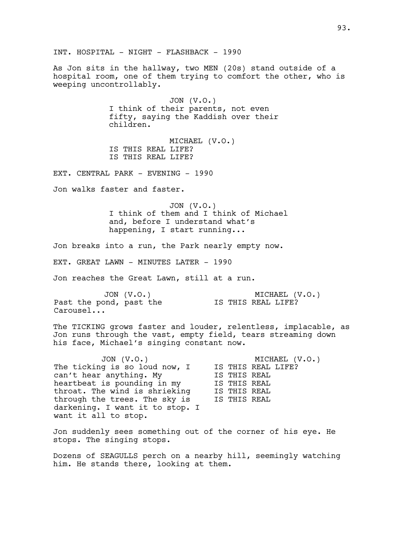As Jon sits in the hallway, two MEN (20s) stand outside of a hospital room, one of them trying to comfort the other, who is weeping uncontrollably.

> JON (V.O.) I think of their parents, not even fifty, saying the Kaddish over their children.

MICHAEL (V.O.) IS THIS REAL LIFE? IS THIS REAL LIFE?

EXT. CENTRAL PARK - EVENING - 1990

Jon walks faster and faster.

JON (V.O.) I think of them and I think of Michael and, before I understand what's happening, I start running...

Jon breaks into a run, the Park nearly empty now.

EXT. GREAT LAWN - MINUTES LATER - 1990

Jon reaches the Great Lawn, still at a run.

JON (V.O.) Past the pond, past the TS THIS REAL LIFE? Carousel... MICHAEL (V.O.)

The TICKING grows faster and louder, relentless, implacable, as Jon runs through the vast, empty field, tears streaming down his face, Michael's singing constant now.

JON (V.O.) The ticking is so loud now, I IS THIS REAL LIFE? can't hear anything. My heartbeat is pounding in my throat. The wind is shrieking through the trees. The sky is darkening. I want it to stop. I want it all to stop. MICHAEL (V.O.) IS THIS REAL IS THIS REAL IS THIS REAL IS THIS REAL

Jon suddenly sees something out of the corner of his eye. He stops. The singing stops.

Dozens of SEAGULLS perch on a nearby hill, seemingly watching him. He stands there, looking at them.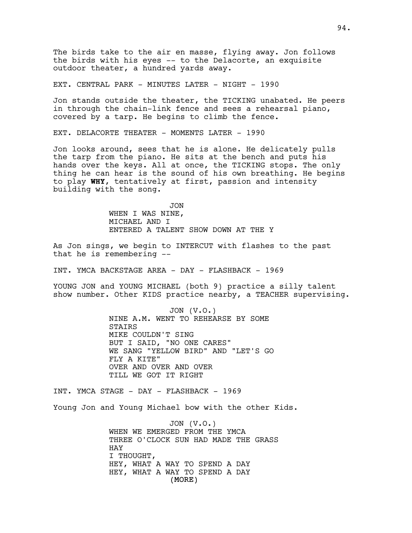The birds take to the air en masse, flying away. Jon follows the birds with his eyes -- to the Delacorte, an exquisite outdoor theater, a hundred yards away.

EXT. CENTRAL PARK - MINUTES LATER - NIGHT - 1990

Jon stands outside the theater, the TICKING unabated. He peers in through the chain-link fence and sees a rehearsal piano, covered by a tarp. He begins to climb the fence.

EXT. DELACORTE THEATER - MOMENTS LATER - 1990

Jon looks around, sees that he is alone. He delicately pulls the tarp from the piano. He sits at the bench and puts his hands over the keys. All at once, the TICKING stops. The only thing he can hear is the sound of his own breathing. He begins to play **WHY**, tentatively at first, passion and intensity building with the song.

> JON WHEN I WAS NINE, MICHAEL AND I ENTERED A TALENT SHOW DOWN AT THE Y

As Jon sings, we begin to INTERCUT with flashes to the past that he is remembering --

INT. YMCA BACKSTAGE AREA - DAY - FLASHBACK - 1969

YOUNG JON and YOUNG MICHAEL (both 9) practice a silly talent show number. Other KIDS practice nearby, a TEACHER supervising.

> JON (V.O.) NINE A.M. WENT TO REHEARSE BY SOME STAIRS MIKE COULDN'T SING BUT I SAID, "NO ONE CARES" WE SANG "YELLOW BIRD" AND "LET'S GO FLY A KITE" OVER AND OVER AND OVER TILL WE GOT IT RIGHT

INT. YMCA STAGE - DAY - FLASHBACK - 1969 Young Jon and Young Michael bow with the other Kids.

> (MORE) JON (V.O.) WHEN WE EMERGED FROM THE YMCA THREE O'CLOCK SUN HAD MADE THE GRASS HAY I THOUGHT, HEY, WHAT A WAY TO SPEND A DAY HEY, WHAT A WAY TO SPEND A DAY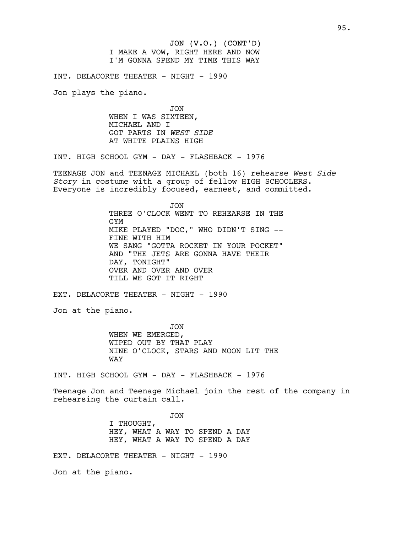JON (V.O.) (CONT'D) I MAKE A VOW, RIGHT HERE AND NOW I'M GONNA SPEND MY TIME THIS WAY

INT. DELACORTE THEATER - NIGHT - 1990

Jon plays the piano.

JON WHEN I WAS SIXTEEN, MICHAEL AND I GOT PARTS IN *WEST SIDE* AT WHITE PLAINS HIGH

INT. HIGH SCHOOL GYM - DAY - FLASHBACK - 1976

TEENAGE JON and TEENAGE MICHAEL (both 16) rehearse *West Side Story* in costume with a group of fellow HIGH SCHOOLERS. Everyone is incredibly focused, earnest, and committed.

> JON THREE O'CLOCK WENT TO REHEARSE IN THE GYM MIKE PLAYED "DOC," WHO DIDN'T SING -- FINE WITH HIM WE SANG "GOTTA ROCKET IN YOUR POCKET" AND "THE JETS ARE GONNA HAVE THEIR DAY, TONIGHT" OVER AND OVER AND OVER TILL WE GOT IT RIGHT

EXT. DELACORTE THEATER - NIGHT - 1990

Jon at the piano.

JON WHEN WE EMERGED, WIPED OUT BY THAT PLAY NINE O'CLOCK, STARS AND MOON LIT THE WAY

INT. HIGH SCHOOL GYM - DAY - FLASHBACK - 1976

Teenage Jon and Teenage Michael join the rest of the company in rehearsing the curtain call.

> JON I THOUGHT, HEY, WHAT A WAY TO SPEND A DAY HEY, WHAT A WAY TO SPEND A DAY

EXT. DELACORTE THEATER - NIGHT - 1990

Jon at the piano.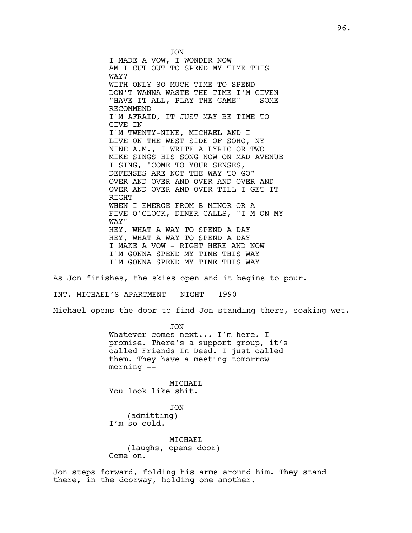JON I MADE A VOW, I WONDER NOW AM I CUT OUT TO SPEND MY TIME THIS WAY? WITH ONLY SO MUCH TIME TO SPEND DON'T WANNA WASTE THE TIME I'M GIVEN "HAVE IT ALL, PLAY THE GAME" -- SOME RECOMMEND I'M AFRAID, IT JUST MAY BE TIME TO GIVE IN I'M TWENTY-NINE, MICHAEL AND I LIVE ON THE WEST SIDE OF SOHO, NY NINE A.M., I WRITE A LYRIC OR TWO MIKE SINGS HIS SONG NOW ON MAD AVENUE I SING, "COME TO YOUR SENSES, DEFENSES ARE NOT THE WAY TO GO" OVER AND OVER AND OVER AND OVER AND OVER AND OVER AND OVER TILL I GET IT RIGHT WHEN I EMERGE FROM B MINOR OR A FIVE O'CLOCK, DINER CALLS, "I'M ON MY WAY" HEY, WHAT A WAY TO SPEND A DAY HEY, WHAT A WAY TO SPEND A DAY I MAKE A VOW - RIGHT HERE AND NOW I'M GONNA SPEND MY TIME THIS WAY I'M GONNA SPEND MY TIME THIS WAY

As Jon finishes, the skies open and it begins to pour. INT. MICHAEL'S APARTMENT - NIGHT - 1990 Michael opens the door to find Jon standing there, soaking wet.

> JON Whatever comes next... I'm here. I promise. There's a support group, it's called Friends In Deed. I just called them. They have a meeting tomorrow morning --

MICHAEL You look like shit.

JON (admitting) I'm so cold.

MICHAEL (laughs, opens door) Come on.

Jon steps forward, folding his arms around him. They stand there, in the doorway, holding one another.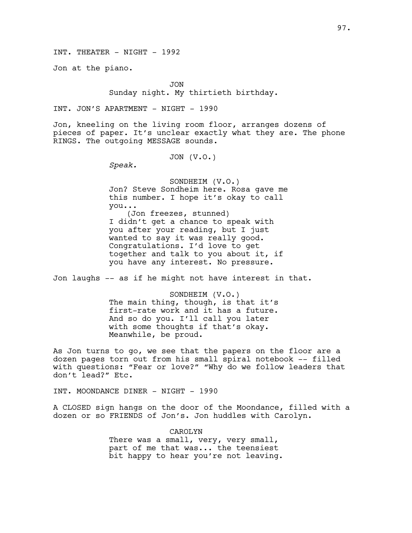INT. THEATER - NIGHT - 1992

Jon at the piano.

JON

Sunday night. My thirtieth birthday.

INT. JON'S APARTMENT - NIGHT - 1990

Jon, kneeling on the living room floor, arranges dozens of pieces of paper. It's unclear exactly what they are. The phone RINGS. The outgoing MESSAGE sounds.

JON (V.O.)

*Speak.*

SONDHEIM (V.O.) Jon? Steve Sondheim here. Rosa gave me this number. I hope it's okay to call you...

(Jon freezes, stunned) I didn't get a chance to speak with you after your reading, but I just wanted to say it was really good. Congratulations. I'd love to get together and talk to you about it, if you have any interest. No pressure.

Jon laughs -- as if he might not have interest in that.

SONDHEIM (V.O.) The main thing, though, is that it's first-rate work and it has a future. And so do you. I'll call you later with some thoughts if that's okay. Meanwhile, be proud.

As Jon turns to go, we see that the papers on the floor are a dozen pages torn out from his small spiral notebook -- filled with questions: "Fear or love?" "Why do we follow leaders that don't lead?" Etc.

INT. MOONDANCE DINER - NIGHT - 1990

A CLOSED sign hangs on the door of the Moondance, filled with a dozen or so FRIENDS of Jon's. Jon huddles with Carolyn.

> CAROLYN There was a small, very, very small, part of me that was... the teensiest bit happy to hear you're not leaving.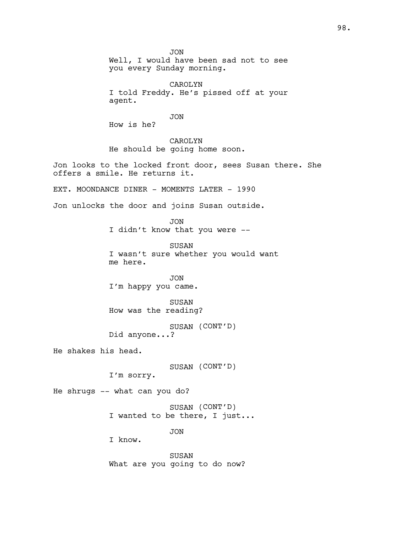JON Well, I would have been sad not to see you every Sunday morning. CAROLYN I told Freddy. He's pissed off at your agent. JON How is he? CAROLYN He should be going home soon. Jon looks to the locked front door, sees Susan there. She offers a smile. He returns it. EXT. MOONDANCE DINER - MOMENTS LATER - 1990 Jon unlocks the door and joins Susan outside. JON I didn't know that you were -- SUSAN I wasn't sure whether you would want me here. JON I'm happy you came. SUSAN How was the reading? SUSAN (CONT'D) Did anyone...? He shakes his head. SUSAN (CONT'D) I'm sorry. He shrugs -- what can you do? SUSAN (CONT'D) I wanted to be there, I just... JON I know. SUSAN What are you going to do now?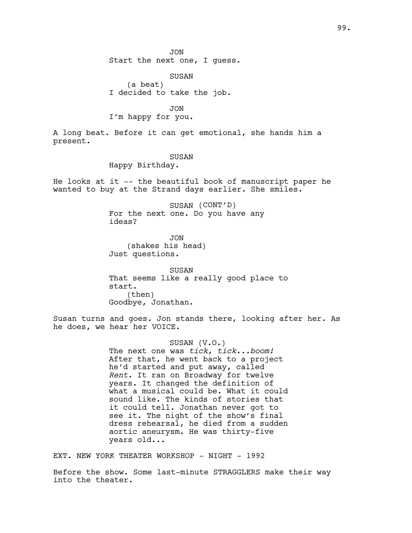SUSAN (a beat) I decided to take the job.

JON

I'm happy for you.

A long beat. Before it can get emotional, she hands him a present.

# SUSAN

Happy Birthday.

He looks at it -- the beautiful book of manuscript paper he wanted to buy at the Strand days earlier. She smiles.

> SUSAN (CONT'D) For the next one. Do you have any ideas?

JON (shakes his head) Just questions.

SUSAN That seems like a really good place to start. (then) Goodbye, Jonathan.

Susan turns and goes. Jon stands there, looking after her. As he does, we hear her VOICE.

> SUSAN (V.O.) The next one was *tick, tick...boom!*  After that, he went back to a project he'd started and put away, called *Rent.* It ran on Broadway for twelve years. It changed the definition of what a musical could be. What it could sound like. The kinds of stories that it could tell. Jonathan never got to see it. The night of the show's final dress rehearsal, he died from a sudden aortic aneurysm. He was thirty-five years old...

EXT. NEW YORK THEATER WORKSHOP - NIGHT - 1992

Before the show. Some last-minute STRAGGLERS make their way into the theater.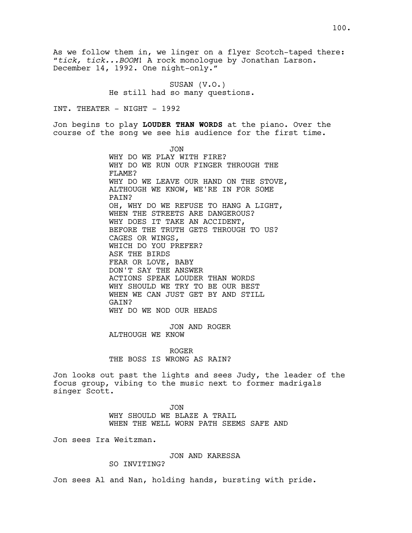As we follow them in, we linger on a flyer Scotch-taped there: "*tick, tick...BOOM*! A rock monologue by Jonathan Larson. December 14, 1992. One night-only."

> SUSAN (V.O.) He still had so many questions.

INT. THEATER - NIGHT - 1992

Jon begins to play **LOUDER THAN WORDS** at the piano. Over the course of the song we see his audience for the first time.

> JON WHY DO WE PLAY WITH FIRE? WHY DO WE RUN OUR FINGER THROUGH THE FLAME? WHY DO WE LEAVE OUR HAND ON THE STOVE, ALTHOUGH WE KNOW, WE'RE IN FOR SOME PAIN? OH, WHY DO WE REFUSE TO HANG A LIGHT, WHEN THE STREETS ARE DANGEROUS? WHY DOES IT TAKE AN ACCIDENT, BEFORE THE TRUTH GETS THROUGH TO US? CAGES OR WINGS, WHICH DO YOU PREFER? ASK THE BIRDS FEAR OR LOVE, BABY DON'T SAY THE ANSWER ACTIONS SPEAK LOUDER THAN WORDS WHY SHOULD WE TRY TO BE OUR BEST WHEN WE CAN JUST GET BY AND STILL GATN? WHY DO WE NOD OUR HEADS

JON AND ROGER ALTHOUGH WE KNOW

ROGER THE BOSS IS WRONG AS RAIN?

Jon looks out past the lights and sees Judy, the leader of the focus group, vibing to the music next to former madrigals singer Scott.

> JON WHY SHOULD WE BLAZE A TRAIL WHEN THE WELL WORN PATH SEEMS SAFE AND

Jon sees Ira Weitzman.

JON AND KARESSA

SO INVITING?

Jon sees Al and Nan, holding hands, bursting with pride.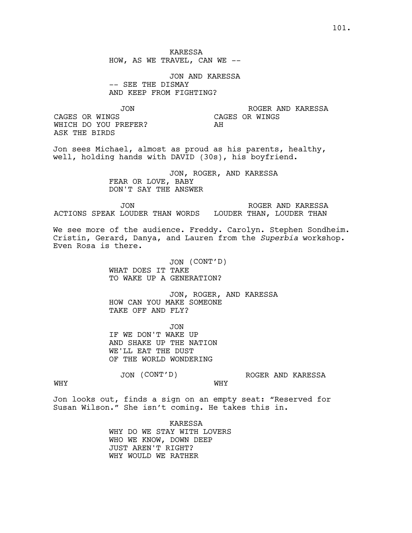KARESSA HOW, AS WE TRAVEL, CAN WE --

JON AND KARESSA -- SEE THE DISMAY AND KEEP FROM FIGHTING?

> ROGER AND KARESSA CAGES OR WINGS AH

JON CAGES OR WINGS WHICH DO YOU PREFER? ASK THE BIRDS

Jon sees Michael, almost as proud as his parents, healthy, well, holding hands with DAVID (30s), his boyfriend.

> JON, ROGER, AND KARESSA FEAR OR LOVE, BABY DON'T SAY THE ANSWER

JON ACTIONS SPEAK LOUDER THAN WORDS ROGER AND KARESSA LOUDER THAN, LOUDER THAN

We see more of the audience. Freddy. Carolyn. Stephen Sondheim. Cristin, Gerard, Danya, and Lauren from the *Superbia* workshop. Even Rosa is there.

> JON (CONT'D) WHAT DOES IT TAKE TO WAKE UP A GENERATION?

JON, ROGER, AND KARESSA HOW CAN YOU MAKE SOMEONE TAKE OFF AND FLY?

JON IF WE DON'T WAKE UP AND SHAKE UP THE NATION WE'LL EAT THE DUST OF THE WORLD WONDERING

> JON (CONT'D) ROGER AND KARESSA WHY

WHY

Jon looks out, finds a sign on an empty seat: "Reserved for Susan Wilson." She isn't coming. He takes this in.

> KARESSA WHY DO WE STAY WITH LOVERS WHO WE KNOW, DOWN DEEP JUST AREN'T RIGHT? WHY WOULD WE RATHER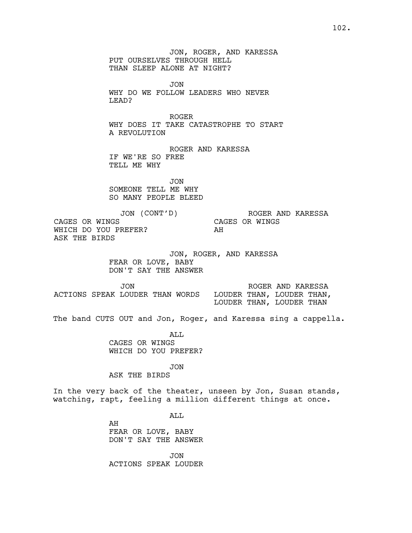JON, ROGER, AND KARESSA PUT OURSELVES THROUGH HELL THAN SLEEP ALONE AT NIGHT? JON WHY DO WE FOLLOW LEADERS WHO NEVER LEAD? ROGER WHY DOES IT TAKE CATASTROPHE TO START A REVOLUTION ROGER AND KARESSA IF WE'RE SO FREE TELL ME WHY JON SOMEONE TELL ME WHY SO MANY PEOPLE BLEED JON (CONT'D) CAGES OR WINGS WHICH DO YOU PREFER? ASK THE BIRDS ROGER AND KARESSA CAGES OR WINGS AH JON, ROGER, AND KARESSA FEAR OR LOVE, BABY DON'T SAY THE ANSWER JON ACTIONS SPEAK LOUDER THAN WORDS ROGER AND KARESSA LOUDER THAN, LOUDER THAN, LOUDER THAN, LOUDER THAN The band CUTS OUT and Jon, Roger, and Karessa sing a cappella. ALL. CAGES OR WINGS WHICH DO YOU PREFER? JON ASK THE BIRDS In the very back of the theater, unseen by Jon, Susan stands, watching, rapt, feeling a million different things at once. ALL AH FEAR OR LOVE, BABY DON'T SAY THE ANSWER JON ACTIONS SPEAK LOUDER